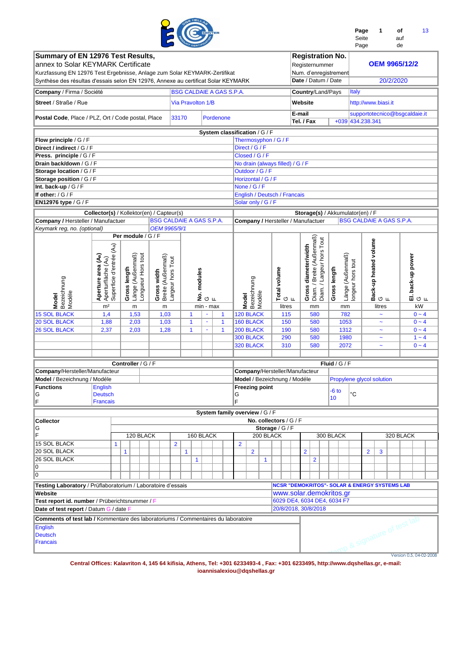|                                                                                                                                                                                                                                           |                                                                      |   |                    |                                        |                                 |                                        |              |                          |                |    |                                 |                |                        |              |                                                          |                      |                                                                                           |                            |                  |                           | Page<br>Seite<br>Page | 1                                   | auf<br>de | οf                           | 13                             |
|-------------------------------------------------------------------------------------------------------------------------------------------------------------------------------------------------------------------------------------------|----------------------------------------------------------------------|---|--------------------|----------------------------------------|---------------------------------|----------------------------------------|--------------|--------------------------|----------------|----|---------------------------------|----------------|------------------------|--------------|----------------------------------------------------------|----------------------|-------------------------------------------------------------------------------------------|----------------------------|------------------|---------------------------|-----------------------|-------------------------------------|-----------|------------------------------|--------------------------------|
| Summary of EN 12976 Test Results,<br>annex to Solar KEYMARK Certificate<br>Kurzfassung EN 12976 Test Ergebnisse, Anlage zum Solar KEYMARK-Zertifikat<br>Synthèse des résultas d'essais selon EN 12976, Annexe au certificat Solar KEYMARK |                                                                      |   |                    |                                        |                                 |                                        |              |                          |                |    |                                 |                |                        |              |                                                          |                      | <b>Registration No.</b><br>Registernummer<br>Num. d'enregistrement<br>Date / Datum / Date |                            |                  |                           |                       |                                     | 20/2/2020 | <b>OEM 9965/12/2</b>         |                                |
| Company / Firma / Société                                                                                                                                                                                                                 |                                                                      |   |                    |                                        |                                 |                                        |              |                          |                |    | <b>BSG CALDAIE A GAS S.P.A.</b> |                |                        |              |                                                          |                      | Country/Land/Pays                                                                         |                            |                  | Italy                     |                       |                                     |           |                              |                                |
| Street / Straße / Rue                                                                                                                                                                                                                     |                                                                      |   |                    |                                        |                                 |                                        |              | <b>Via Pravolton 1/B</b> |                |    |                                 |                |                        |              |                                                          | Website              |                                                                                           |                            |                  |                           | http://www.biasi.it   |                                     |           |                              |                                |
| Postal Code, Place / PLZ, Ort / Code postal, Place                                                                                                                                                                                        |                                                                      |   |                    |                                        |                                 |                                        | 33170        |                          |                |    | Pordenone                       |                |                        |              |                                                          | E-mail<br>Tel. / Fax |                                                                                           |                            |                  | +039 434.238.341          |                       |                                     |           |                              | supportotecnico@bsgcaldaie.it  |
|                                                                                                                                                                                                                                           |                                                                      |   |                    |                                        |                                 |                                        |              |                          |                |    | System classification / G / F   |                |                        |              |                                                          |                      |                                                                                           |                            |                  |                           |                       |                                     |           |                              |                                |
| Flow principle / G / F                                                                                                                                                                                                                    |                                                                      |   |                    |                                        |                                 |                                        |              |                          |                |    |                                 |                | Thermosyphon / G / F   |              |                                                          |                      |                                                                                           |                            |                  |                           |                       |                                     |           |                              |                                |
| Direct / indirect / G / F                                                                                                                                                                                                                 |                                                                      |   |                    |                                        |                                 |                                        |              |                          |                |    |                                 |                | Direct / G / F         |              |                                                          |                      |                                                                                           |                            |                  |                           |                       |                                     |           |                              |                                |
| Press. principle / G / F                                                                                                                                                                                                                  |                                                                      |   |                    |                                        |                                 |                                        |              |                          |                |    |                                 |                | Closed / G / F         |              |                                                          |                      |                                                                                           |                            |                  |                           |                       |                                     |           |                              |                                |
| Drain back/down / G / F<br>Storage location / G / F                                                                                                                                                                                       |                                                                      |   |                    |                                        |                                 |                                        |              |                          |                |    |                                 |                | Outdoor / G / F        |              | No drain (always filled) / G / F                         |                      |                                                                                           |                            |                  |                           |                       |                                     |           |                              |                                |
| Storage position / G / F                                                                                                                                                                                                                  |                                                                      |   |                    |                                        |                                 |                                        |              |                          |                |    |                                 |                | Horizontal / G / F     |              |                                                          |                      |                                                                                           |                            |                  |                           |                       |                                     |           |                              |                                |
| Int. back-up / G / F                                                                                                                                                                                                                      |                                                                      |   |                    |                                        |                                 |                                        |              |                          |                |    |                                 |                | None / G / F           |              |                                                          |                      |                                                                                           |                            |                  |                           |                       |                                     |           |                              |                                |
| If other: $/G/F$                                                                                                                                                                                                                          |                                                                      |   |                    |                                        |                                 |                                        |              |                          |                |    |                                 |                |                        |              | English / Deutsch / Francais                             |                      |                                                                                           |                            |                  |                           |                       |                                     |           |                              |                                |
| EN12976 type / G / F                                                                                                                                                                                                                      |                                                                      |   |                    |                                        |                                 |                                        |              |                          |                |    |                                 |                | Solar only / G / F     |              |                                                          |                      |                                                                                           |                            |                  |                           |                       |                                     |           |                              |                                |
|                                                                                                                                                                                                                                           | Collector(s) / Kollektor(en) / Capteur(s)                            |   |                    |                                        |                                 |                                        |              |                          |                |    |                                 |                |                        |              |                                                          |                      | Storage(s) / Akkumulator(en) / F                                                          |                            |                  |                           |                       |                                     |           |                              |                                |
| Company / Hersteller / Manufactuer                                                                                                                                                                                                        |                                                                      |   |                    |                                        | <b>BSG CALDAIE A GAS S.P.A.</b> |                                        |              |                          |                |    |                                 |                |                        |              | Company / Hersteller / Manufactuer                       |                      |                                                                                           |                            |                  | BSG CALDAIE A GAS S.P.A.  |                       |                                     |           |                              |                                |
|                                                                                                                                                                                                                                           | OEM 9965/9/1<br>Keymark reg, no. (optional)<br>Per module / G / F    |   |                    |                                        |                                 |                                        |              |                          |                |    |                                 |                |                        |              |                                                          |                      |                                                                                           |                            |                  |                           |                       |                                     |           |                              |                                |
| Bezeichnung<br>Modéle<br><b>Model</b>                                                                                                                                                                                                     | Aperturfläche (Aa)<br>Superficie d'entrée (Aa)<br>Aperture area (Aa) |   | Gross length       | Länge (Außenmaß)<br>Longueur Hors tout | Gross width                     | Breite (Außenmaß)<br>Largeur hors Tout |              | No. modules              |                | ுட |                                 | <b>Model</b>   | Bezeichnung<br>Modéle  |              | Total volume<br>ுட                                       |                      | <b>Gross diameter/width</b><br>Diam. / Breite (Außenmaß)<br>Diam. / Largeur hors Tout     | Gross length               | Länge (Außenmaß) | ongeur hors tout          |                       | ∣ Back-up heated volume<br>│G<br>│F |           |                              | El. back-up power<br> G<br>  F |
|                                                                                                                                                                                                                                           | m <sup>2</sup>                                                       |   | m                  |                                        |                                 | m                                      |              |                          | min - max      |    |                                 |                |                        |              | litres                                                   |                      | mm                                                                                        |                            | mm               |                           |                       | litres                              |           |                              | kW                             |
| <b>15 SOL BLACK</b>                                                                                                                                                                                                                       | 1,4                                                                  |   | 1,53               |                                        |                                 | 1,03                                   |              | $\mathbf{1}$             | $\blacksquare$ |    | $\mathbf{1}$                    |                | 120 BLACK              |              | 115                                                      |                      | 580                                                                                       |                            | 782              |                           |                       | $\tilde{\phantom{a}}$               |           |                              | $0 - 4$                        |
| <b>20 SOL BLACK</b>                                                                                                                                                                                                                       | 1,88                                                                 |   | 2,03               |                                        |                                 | 1,03                                   |              | $\mathbf{1}$             | $\blacksquare$ |    | $\mathbf{1}$                    |                | 160 BLACK              |              | 150                                                      |                      | 580                                                                                       |                            | 1053             |                           |                       | $\tilde{\phantom{a}}$               |           |                              | $0 - 4$                        |
| <b>26 SOL BLACK</b>                                                                                                                                                                                                                       | 2,37                                                                 |   | 2,03               |                                        |                                 | 1,28                                   |              | 1                        |                |    | $\mathbf{1}$                    |                | 200 BLACK              |              | 190                                                      |                      | 580                                                                                       |                            | 1312             |                           |                       | $\tilde{\phantom{a}}$               |           |                              | $0 - 4$                        |
|                                                                                                                                                                                                                                           |                                                                      |   |                    |                                        |                                 |                                        |              |                          |                |    |                                 |                | 300 BLACK<br>320 BLACK |              | 290<br>310                                               |                      | 580<br>580                                                                                |                            | 1980<br>2072     |                           |                       | $\ddot{\phantom{1}}$                |           |                              | $1 - 4$<br>$0 - 4$             |
|                                                                                                                                                                                                                                           |                                                                      |   |                    |                                        |                                 |                                        |              |                          |                |    |                                 |                |                        |              |                                                          |                      |                                                                                           |                            |                  |                           |                       | $\tilde{\phantom{a}}$               |           |                              |                                |
|                                                                                                                                                                                                                                           |                                                                      |   |                    |                                        |                                 |                                        |              |                          |                |    |                                 |                |                        |              |                                                          |                      |                                                                                           |                            |                  |                           |                       |                                     |           |                              |                                |
| Company/Hersteller/Manufacteur                                                                                                                                                                                                            |                                                                      |   | Controller / G / F |                                        |                                 |                                        |              |                          |                |    |                                 |                |                        |              | Company/Hersteller/Manufacteur                           |                      |                                                                                           | Fluid / $G$ / F            |                  |                           |                       |                                     |           |                              |                                |
| Model / Bezeichnung / Modéle                                                                                                                                                                                                              |                                                                      |   |                    |                                        |                                 |                                        |              |                          |                |    |                                 |                |                        |              | Model / Bezeichnung / Modéle                             |                      |                                                                                           |                            |                  | Propylene glycol solution |                       |                                     |           |                              |                                |
| <b>Functions</b>                                                                                                                                                                                                                          | English                                                              |   |                    |                                        |                                 |                                        |              |                          |                |    |                                 |                | <b>Freezing point</b>  |              |                                                          |                      |                                                                                           |                            |                  |                           |                       |                                     |           |                              |                                |
| G<br>F                                                                                                                                                                                                                                    | <b>Deutsch</b><br><b>Francais</b>                                    |   |                    |                                        |                                 |                                        |              |                          |                |    |                                 | G<br>F         |                        |              |                                                          |                      |                                                                                           | $-6$ to<br>10 <sup>1</sup> |                  | °C                        |                       |                                     |           |                              |                                |
|                                                                                                                                                                                                                                           |                                                                      |   |                    |                                        |                                 |                                        |              |                          |                |    | System family overview / G / F  |                |                        |              |                                                          |                      |                                                                                           |                            |                  |                           |                       |                                     |           |                              |                                |
| Collector                                                                                                                                                                                                                                 |                                                                      |   |                    |                                        |                                 |                                        |              |                          |                |    |                                 |                |                        |              | No. collectors / G / F                                   |                      |                                                                                           |                            |                  |                           |                       |                                     |           |                              |                                |
| G                                                                                                                                                                                                                                         |                                                                      |   |                    |                                        |                                 |                                        |              |                          |                |    |                                 |                |                        |              | Storage / $G$ / $F$                                      |                      |                                                                                           |                            |                  |                           |                       |                                     |           |                              |                                |
| E.<br><b>15 SOL BLACK</b>                                                                                                                                                                                                                 |                                                                      |   | 120 BLACK          |                                        |                                 |                                        |              | 160 BLACK                |                |    |                                 |                |                        | 200 BLACK    |                                                          |                      |                                                                                           | 300 BLACK                  |                  |                           |                       |                                     |           | 320 BLACK                    |                                |
| 20 SOL BLACK                                                                                                                                                                                                                              |                                                                      | 1 | $\mathbf{1}$       |                                        |                                 | $\overline{2}$                         | $\mathbf{1}$ |                          |                |    |                                 | $\overline{2}$ | $\overline{2}$         |              |                                                          | $\overline{2}$       |                                                                                           |                            |                  |                           | $\overline{2}$        | 3                                   |           |                              |                                |
| 26 SOL BLACK                                                                                                                                                                                                                              |                                                                      |   |                    |                                        |                                 |                                        |              | $\mathbf{1}$             |                |    |                                 |                |                        | $\mathbf{1}$ |                                                          |                      | 2                                                                                         |                            |                  |                           |                       |                                     |           |                              |                                |
| 0                                                                                                                                                                                                                                         |                                                                      |   |                    |                                        |                                 |                                        |              |                          |                |    |                                 |                |                        |              |                                                          |                      |                                                                                           |                            |                  |                           |                       |                                     |           |                              |                                |
| O                                                                                                                                                                                                                                         |                                                                      |   |                    |                                        |                                 |                                        |              |                          |                |    |                                 |                |                        |              |                                                          |                      |                                                                                           |                            |                  |                           |                       |                                     |           |                              |                                |
| Testing Laboratory / Prüflaboratorium / Laboratoire d'essais                                                                                                                                                                              |                                                                      |   |                    |                                        |                                 |                                        |              |                          |                |    |                                 |                |                        |              | <b>NCSR "DEMOKRITOS"- SOLAR &amp; ENERGY SYSTEMS LAB</b> |                      |                                                                                           |                            |                  |                           |                       |                                     |           |                              |                                |
| Website                                                                                                                                                                                                                                   |                                                                      |   |                    |                                        |                                 |                                        |              |                          |                |    |                                 |                |                        |              | www.solar.demokritos.gr                                  |                      |                                                                                           |                            |                  |                           |                       |                                     |           |                              |                                |
| Test report id. number / Prüberichtsnummer / F                                                                                                                                                                                            |                                                                      |   |                    |                                        |                                 |                                        |              |                          |                |    |                                 |                |                        |              | 6029 DE4, 6034 DE4, 6034 F7                              |                      |                                                                                           |                            |                  |                           |                       |                                     |           |                              |                                |
| Date of test report / Datum G / date F                                                                                                                                                                                                    |                                                                      |   |                    |                                        |                                 |                                        |              |                          |                |    |                                 |                |                        |              | 20/8/2018, 30/8/2018                                     |                      |                                                                                           |                            |                  |                           |                       |                                     |           |                              |                                |
| <b>Comments of test lab / Kommentare des laboratoriums / Commentaires du laboratoire</b>                                                                                                                                                  |                                                                      |   |                    |                                        |                                 |                                        |              |                          |                |    |                                 |                |                        |              |                                                          |                      |                                                                                           |                            |                  |                           |                       |                                     |           |                              |                                |
| English<br><b>Deutsch</b><br><b>Francais</b>                                                                                                                                                                                              |                                                                      |   |                    |                                        |                                 |                                        |              |                          |                |    |                                 |                |                        |              |                                                          |                      |                                                                                           |                            |                  |                           |                       |                                     |           | who is signature of test lab |                                |
|                                                                                                                                                                                                                                           |                                                                      |   |                    |                                        |                                 |                                        |              |                          |                |    |                                 |                |                        |              |                                                          |                      |                                                                                           |                            |                  |                           |                       |                                     |           |                              | Version 0.5, 04-02-2008        |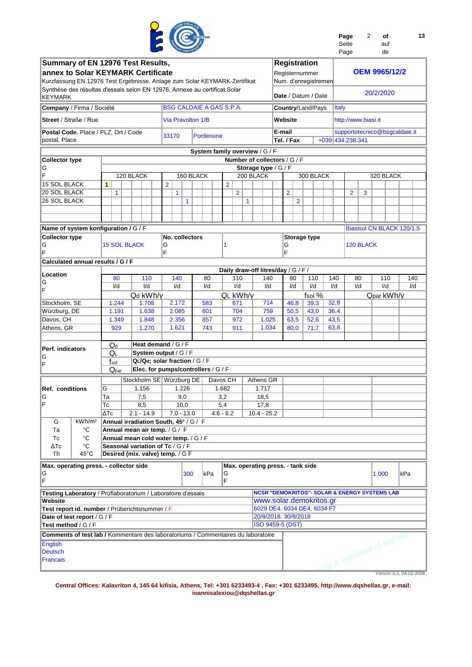

| Page  | $\mathcal{P}$ | Ωf  |  |
|-------|---------------|-----|--|
| Seite |               | auf |  |
| Page  |               | de  |  |

**13**

| Summary of EN 12976 Test Results,<br>annex to Solar KEYMARK Certificate<br>Kurzfassung EN 12976 Test Ergebnisse, Anlage zum Solar KEYMARK-Zertifikat |                          |                     |                                                                        |                         |              |                                 |                                            |   |                              |        |                | <b>Registration</b><br>Registernummer<br>Num. d'enregistremen                       |      |              |                     |           | <b>OEM 9965/12/2</b>          |                         |     |     |
|------------------------------------------------------------------------------------------------------------------------------------------------------|--------------------------|---------------------|------------------------------------------------------------------------|-------------------------|--------------|---------------------------------|--------------------------------------------|---|------------------------------|--------|----------------|-------------------------------------------------------------------------------------|------|--------------|---------------------|-----------|-------------------------------|-------------------------|-----|-----|
| Synthèse des résultas d'essais selon EN 12976, Annexe au certificat Solar<br>KEYMARK                                                                 |                          |                     |                                                                        |                         |              |                                 |                                            |   |                              |        |                | Date / Datum / Date                                                                 |      |              |                     |           | 20/2/2020                     |                         |     |     |
| Company / Firma / Société                                                                                                                            |                          |                     |                                                                        |                         |              | <b>BSG CALDAIE A GAS S.P.A.</b> |                                            |   |                              |        |                | Country/Land/Pays                                                                   |      | <b>Italy</b> |                     |           |                               |                         |     |     |
| <b>Street</b> / Straße / Rue                                                                                                                         |                          |                     |                                                                        |                         |              | <b>Via Pravolton 1/B</b>        |                                            |   |                              |        | Website        |                                                                                     |      |              | http://www.biasi.it |           |                               |                         |     |     |
| Postal Code, Place / PLZ, Ort / Code<br>postal, Place                                                                                                |                          |                     |                                                                        | 33170                   |              | Pordenone                       |                                            |   |                              | E-mail | Tel. / Fax     |                                                                                     |      |              | +039 434.238.341    |           | supportotecnico@bsgcaldaie.it |                         |     |     |
|                                                                                                                                                      |                          |                     |                                                                        |                         |              | System family overview / G / F  |                                            |   |                              |        |                |                                                                                     |      |              |                     |           |                               |                         |     |     |
| <b>Collector type</b>                                                                                                                                |                          |                     |                                                                        |                         |              |                                 |                                            |   | Number of collectors / G / F |        |                |                                                                                     |      |              |                     |           |                               |                         |     |     |
| G                                                                                                                                                    |                          |                     |                                                                        |                         |              |                                 |                                            |   | Storage type / $G$ / $F$     |        |                |                                                                                     |      |              |                     |           |                               |                         |     |     |
| F                                                                                                                                                    |                          |                     | 120 BLACK                                                              |                         |              | 160 BLACK                       |                                            |   | 200 BLACK                    |        |                | 300 BLACK                                                                           |      |              |                     |           | 320 BLACK                     |                         |     |     |
| <b>15 SOL BLACK</b>                                                                                                                                  |                          | 1                   |                                                                        | $\overline{\mathbf{2}}$ |              |                                 | $\overline{2}$                             |   |                              |        |                |                                                                                     |      |              |                     |           |                               |                         |     |     |
| 20 SOL BLACK                                                                                                                                         |                          | 1                   |                                                                        | 1                       |              |                                 | $\overline{2}$                             |   |                              |        | $\overline{2}$ |                                                                                     |      |              | $\overline{2}$      | 3         |                               |                         |     |     |
| 26 SOL BLACK                                                                                                                                         |                          |                     |                                                                        |                         | $\mathbf{1}$ |                                 |                                            | 1 |                              |        |                | $\overline{2}$                                                                      |      |              |                     |           |                               |                         |     |     |
|                                                                                                                                                      |                          |                     |                                                                        |                         |              |                                 |                                            |   |                              |        |                |                                                                                     |      |              |                     |           |                               |                         |     |     |
| Name of system konfiguration / G / F                                                                                                                 |                          |                     |                                                                        |                         |              |                                 |                                            |   |                              |        |                |                                                                                     |      |              |                     |           | Biasisol CN BLACK 120/1.5     |                         |     |     |
| <b>Collector type</b>                                                                                                                                |                          |                     |                                                                        | No. collectors          |              |                                 |                                            |   |                              |        |                | <b>Storage type</b>                                                                 |      |              |                     |           |                               |                         |     |     |
| G<br>F                                                                                                                                               |                          | <b>15 SOL BLACK</b> |                                                                        | G<br>F                  |              |                                 | 1                                          |   |                              |        | G<br>F         |                                                                                     |      |              |                     | 120 BLACK |                               |                         |     |     |
| Calculated annual results / G / F                                                                                                                    |                          |                     |                                                                        |                         |              |                                 |                                            |   |                              |        |                |                                                                                     |      |              |                     |           |                               |                         |     |     |
| Location                                                                                                                                             |                          |                     | 110                                                                    | 140                     |              | 80                              | Daily draw-off litres/day / G / F /<br>110 |   | 140                          |        | 80             |                                                                                     | 140  |              | 80                  |           | 110                           |                         |     | 140 |
| G                                                                                                                                                    |                          | 80<br>I/d           | I/d                                                                    | I/d                     |              | I/d                             | I/d                                        |   | I/d                          |        | I/d            | 110<br>I/d                                                                          | I/d  |              | I/d                 |           | I/d                           |                         | I/d |     |
| F                                                                                                                                                    |                          |                     | Qd kWh/y                                                               |                         |              |                                 | QL kWh/y                                   |   |                              |        |                | fsol %                                                                              |      |              |                     |           | Qpar kWh/y                    |                         |     |     |
| Stockholm, SE                                                                                                                                        |                          | 1.244               | 1.708                                                                  | 2.172                   |              | 583                             | 671                                        |   | 714                          |        | 46,8           | 39,3                                                                                |      | 32,9         |                     |           |                               |                         |     |     |
| Würzburg, DE                                                                                                                                         |                          | 1.191               | 1.638                                                                  | 2.085                   |              | 601                             | 704                                        |   | 759                          |        | 50,5           | 43,0                                                                                | 36,4 |              |                     |           |                               |                         |     |     |
| Davos, CH                                                                                                                                            |                          | 1.349               | 1.848                                                                  | 2.356                   |              | 857                             | 972                                        |   | 1.025                        |        | 63,5           | 52,6                                                                                | 43,5 |              |                     |           |                               |                         |     |     |
| Athens, GR                                                                                                                                           |                          | 929                 | 1.270                                                                  | 1.621                   |              | 743                             | 911                                        |   | 1.034                        |        | 80,0           | 71,7                                                                                | 63,8 |              |                     |           |                               |                         |     |     |
|                                                                                                                                                      |                          | $Q_d$               | Heat demand / G / F                                                    |                         |              |                                 |                                            |   |                              |        |                |                                                                                     |      |              |                     |           |                               |                         |     |     |
| Perf. indicators                                                                                                                                     |                          | QL                  | System output / G / F                                                  |                         |              |                                 |                                            |   |                              |        |                |                                                                                     |      |              |                     |           |                               |                         |     |     |
| G                                                                                                                                                    |                          | $f_{\rm sol}$       | QL/Qd; solar fraction / G / F                                          |                         |              |                                 |                                            |   |                              |        |                |                                                                                     |      |              |                     |           |                               |                         |     |     |
| F                                                                                                                                                    |                          | $Q_{par}$           | Elec. for pumps/controllers / G / F                                    |                         |              |                                 |                                            |   |                              |        |                |                                                                                     |      |              |                     |           |                               |                         |     |     |
|                                                                                                                                                      |                          |                     | Stockholm SE   Würzburg DE                                             |                         |              |                                 | Davos CH                                   |   | Athens GR                    |        |                |                                                                                     |      |              |                     |           |                               |                         |     |     |
| Ref. conditions                                                                                                                                      |                          | G                   | 1.156                                                                  |                         | 1.226        |                                 | 1.682                                      |   | 1.717                        |        |                |                                                                                     |      |              |                     |           |                               |                         |     |     |
| G                                                                                                                                                    |                          | Ta                  | 7,5                                                                    |                         | 9,0          |                                 | 3,2                                        |   | 18,5                         |        |                |                                                                                     |      |              |                     |           |                               |                         |     |     |
| F                                                                                                                                                    |                          | Тc                  | 8,5                                                                    |                         | 10,0         |                                 | 5,4                                        |   | 17,8                         |        |                |                                                                                     |      |              |                     |           |                               |                         |     |     |
|                                                                                                                                                      |                          | $\Delta Tc$         | $2.1 - 14.9$                                                           | $7.0 - 13.0$            |              |                                 | $4.6 - 6.2$                                |   | $10.4 - 25.2$                |        |                |                                                                                     |      |              |                     |           |                               |                         |     |     |
| G<br>Ta                                                                                                                                              | kWh/m <sup>2</sup><br>°C |                     | Annual irradiation South, 45° / G / F<br>Annual mean air temp. / G / F |                         |              |                                 |                                            |   |                              |        |                |                                                                                     |      |              |                     |           |                               |                         |     |     |
| Tc                                                                                                                                                   | °C                       |                     | Annual mean cold water temp. / G / F                                   |                         |              |                                 |                                            |   |                              |        |                |                                                                                     |      |              |                     |           |                               |                         |     |     |
| ΔТс                                                                                                                                                  | °C                       |                     | Seasonal variation of Tc / G / F                                       |                         |              |                                 |                                            |   |                              |        |                |                                                                                     |      |              |                     |           |                               |                         |     |     |
| Th                                                                                                                                                   | $45^{\circ}$ C           |                     | Desired (mix. valve) temp. / G F                                       |                         |              |                                 |                                            |   |                              |        |                |                                                                                     |      |              |                     |           |                               |                         |     |     |
| Max. operating press. - collector side                                                                                                               |                          |                     |                                                                        |                         |              |                                 | Max. operating press. - tank side          |   |                              |        |                |                                                                                     |      |              |                     |           |                               |                         |     |     |
| G<br>F                                                                                                                                               |                          |                     |                                                                        |                         | 300          | kPa                             | G<br>F                                     |   |                              |        |                |                                                                                     |      |              |                     |           | 1.000                         |                         | kPa |     |
|                                                                                                                                                      |                          |                     |                                                                        |                         |              |                                 |                                            |   |                              |        |                |                                                                                     |      |              |                     |           |                               |                         |     |     |
| Testing Laboratory / Prüflaboratorium / Laboratoire d'essais                                                                                         |                          |                     |                                                                        |                         |              |                                 |                                            |   |                              |        |                | <b>NCSR "DEMOKRITOS"- SOLAR &amp; ENERGY SYSTEMS LAB</b><br>www.solar.demokritos.gr |      |              |                     |           |                               |                         |     |     |
| Website<br>Test report id. number / Prüberichtsnummer / F                                                                                            |                          |                     |                                                                        |                         |              |                                 |                                            |   |                              |        |                | 6029 DE4, 6034 DE4, 6034 F7                                                         |      |              |                     |           |                               |                         |     |     |
| Date of test report / G / F                                                                                                                          |                          |                     |                                                                        |                         |              |                                 |                                            |   | 20/8/2018, 30/8/2018         |        |                |                                                                                     |      |              |                     |           |                               |                         |     |     |
| Test method / G / F                                                                                                                                  |                          |                     |                                                                        |                         |              |                                 |                                            |   | ISO 9459-5 (DST)             |        |                |                                                                                     |      |              |                     |           |                               |                         |     |     |
| <b>Comments of test lab /</b> Kommentare des laboratoriums / Commentaires du laboratoire                                                             |                          |                     |                                                                        |                         |              |                                 |                                            |   |                              |        |                |                                                                                     |      |              |                     |           |                               |                         |     |     |
| <b>English</b>                                                                                                                                       |                          |                     |                                                                        |                         |              |                                 |                                            |   |                              |        |                |                                                                                     |      |              |                     |           | mp & signature of test lab    |                         |     |     |
| <b>Deutsch</b><br>Francais                                                                                                                           |                          |                     |                                                                        |                         |              |                                 |                                            |   |                              |        |                |                                                                                     |      |              |                     |           |                               |                         |     |     |
|                                                                                                                                                      |                          |                     |                                                                        |                         |              |                                 |                                            |   |                              |        |                |                                                                                     |      |              |                     |           |                               |                         |     |     |
|                                                                                                                                                      |                          |                     |                                                                        |                         |              |                                 |                                            |   |                              |        |                |                                                                                     |      |              |                     |           |                               | Version 0.5, 04-02-2008 |     |     |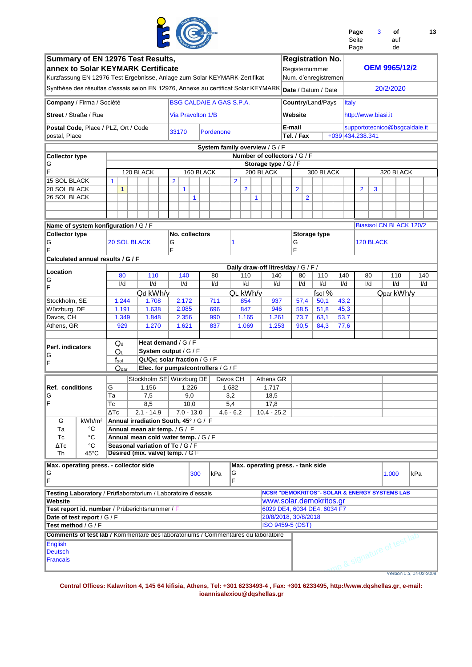|                                                                                                                                                      |                          |              |                |                     |                                                                       |                |                              |            |                                                                |              |                      |              |                         |                |                                                                   |              | Page<br>Seite<br>Page | 3         |           | οf<br>auf<br>de            | 13                             |
|------------------------------------------------------------------------------------------------------------------------------------------------------|--------------------------|--------------|----------------|---------------------|-----------------------------------------------------------------------|----------------|------------------------------|------------|----------------------------------------------------------------|--------------|----------------------|--------------|-------------------------|----------------|-------------------------------------------------------------------|--------------|-----------------------|-----------|-----------|----------------------------|--------------------------------|
| Summary of EN 12976 Test Results,<br>annex to Solar KEYMARK Certificate<br>Kurzfassung EN 12976 Test Ergebnisse, Anlage zum Solar KEYMARK-Zertifikat |                          |              |                |                     |                                                                       |                |                              |            |                                                                |              |                      |              |                         |                | <b>Registration No.</b><br>Registernummer<br>Num. d'enregistremen |              |                       |           |           | <b>OEM 9965/12/2</b>       |                                |
| Synthèse des résultas d'essais selon EN 12976, Annexe au certificat Solar KEYMARK                                                                    |                          |              |                |                     |                                                                       |                |                              |            |                                                                |              |                      |              |                         |                | Date / Datum / Date                                               |              |                       |           | 20/2/2020 |                            |                                |
| Company / Firma / Société                                                                                                                            |                          |              |                |                     |                                                                       |                |                              |            | <b>BSG CALDAIE A GAS S.P.A.</b>                                |              |                      |              |                         |                | Country/Land/Pays                                                 | <b>Italy</b> |                       |           |           |                            |                                |
| <b>Street / Straße / Rue</b>                                                                                                                         |                          |              |                |                     |                                                                       |                | Via Pravolton 1/B            |            |                                                                |              |                      |              | Website                 |                |                                                                   |              | http://www.biasi.it   |           |           |                            |                                |
| Postal Code, Place / PLZ, Ort / Code<br>postal, Place                                                                                                |                          |              |                |                     |                                                                       | 33170          |                              | Pordenone  |                                                                |              |                      |              | E-mail<br>Tel. / Fax    |                |                                                                   |              | +039 434.238.341      |           |           |                            | supportotecnico@bsgcaldaie.it  |
|                                                                                                                                                      |                          |              |                |                     |                                                                       |                |                              |            | System family overview / G / F<br>Number of collectors / G / F |              |                      |              |                         |                |                                                                   |              |                       |           |           |                            |                                |
| <b>Collector type</b><br>G                                                                                                                           |                          |              |                |                     |                                                                       |                |                              |            |                                                                |              | Storage type / G / F |              |                         |                |                                                                   |              |                       |           |           |                            |                                |
| F                                                                                                                                                    |                          |              |                | 120 BLACK           |                                                                       |                | 160 BLACK                    |            |                                                                |              | 200 BLACK            |              |                         |                | 300 BLACK                                                         |              |                       |           |           | 320 BLACK                  |                                |
| <b>15 SOL BLACK</b>                                                                                                                                  |                          | $\mathbf{1}$ |                |                     |                                                                       | $\overline{2}$ |                              |            | $\overline{2}$                                                 |              |                      |              |                         |                |                                                                   |              |                       |           |           |                            |                                |
| 20 SOL BLACK<br>26 SOL BLACK                                                                                                                         |                          |              | 1              |                     |                                                                       |                | $\mathbf{1}$<br>$\mathbf{1}$ |            | $\overline{2}$                                                 | $\mathbf{1}$ |                      |              | $\overline{2}$          | $\overline{2}$ |                                                                   |              | $\overline{2}$        | 3         |           |                            |                                |
|                                                                                                                                                      |                          |              |                |                     |                                                                       |                |                              |            |                                                                |              |                      |              |                         |                |                                                                   |              |                       |           |           |                            |                                |
|                                                                                                                                                      |                          |              |                |                     |                                                                       |                |                              |            |                                                                |              |                      |              |                         |                |                                                                   |              |                       |           |           |                            |                                |
| Name of system konfiguration / G / F<br><b>Collector type</b>                                                                                        |                          |              |                |                     |                                                                       |                | No. collectors               |            |                                                                |              |                      |              |                         |                | Storage type                                                      |              |                       |           |           |                            | <b>Biasisol CN BLACK 120/2</b> |
| G<br>F                                                                                                                                               |                          |              |                | <b>20 SOL BLACK</b> |                                                                       | G<br>F         |                              |            | 1                                                              |              |                      |              | G<br>F                  |                |                                                                   |              |                       | 120 BLACK |           |                            |                                |
| Calculated annual results / G / F                                                                                                                    |                          |              |                |                     |                                                                       |                |                              |            |                                                                |              |                      |              |                         |                |                                                                   |              |                       |           |           |                            |                                |
| Location                                                                                                                                             |                          |              | 80             |                     | 110                                                                   |                | 140                          | 80         | Daily draw-off litres/day / G / F /<br>110                     |              |                      | 140          | 80                      |                | 110                                                               | 140          |                       | 80        |           | 110                        | 140                            |
| G<br>F                                                                                                                                               |                          |              | I/d            |                     | I/d                                                                   |                | I/d                          | I/d        | I/d                                                            |              |                      | I/d          | I/d                     |                | I/d                                                               | I/d          |                       | I/d       |           | $\mathsf{I}/\mathsf{d}$    | I/d                            |
|                                                                                                                                                      |                          |              |                |                     | Qd kWh/y                                                              |                |                              |            | QL kWh/y                                                       |              |                      |              |                         |                | fsol %                                                            |              |                       |           |           | Qpar kWh/y                 |                                |
| Stockholm, SE                                                                                                                                        |                          |              | 1.244          |                     | 1.708                                                                 |                | 2.172                        | 711        | 854                                                            |              |                      | 937          | 57,4                    |                | 50,1                                                              | 43,2         |                       |           |           |                            |                                |
| Würzburg, DE<br>Davos, CH                                                                                                                            |                          |              | 1.191<br>1.349 |                     | 1.638<br>1.848                                                        |                | 2.085<br>2.356               | 696<br>990 | 847<br>1.165                                                   |              |                      | 946<br>1.261 | 58,5<br>73,7            |                | 51,8<br>63,1                                                      | 45,3<br>53,7 |                       |           |           |                            |                                |
| Athens, GR                                                                                                                                           |                          |              | 929            |                     | 1.270                                                                 |                | 1.621                        | 837        | 1.069                                                          |              |                      | 1.253        | 90,5                    |                | 84,3                                                              | 77,6         |                       |           |           |                            |                                |
|                                                                                                                                                      |                          |              | $Q_d$          |                     | Heat demand / $G$ / $F$                                               |                |                              |            |                                                                |              |                      |              |                         |                |                                                                   |              |                       |           |           |                            |                                |
| Perf. indicators                                                                                                                                     |                          |              | QL             |                     | System output / G / F                                                 |                |                              |            |                                                                |              |                      |              |                         |                |                                                                   |              |                       |           |           |                            |                                |
| G<br>F                                                                                                                                               |                          |              | $f_{\rm sol}$  |                     | QL/Qd; solar fraction / G / F                                         |                |                              |            |                                                                |              |                      |              |                         |                |                                                                   |              |                       |           |           |                            |                                |
|                                                                                                                                                      |                          |              | $Q_{par}$      |                     | Elec. for pumps/controllers / G / F                                   |                |                              |            |                                                                |              |                      |              |                         |                |                                                                   |              |                       |           |           |                            |                                |
|                                                                                                                                                      |                          |              |                |                     | Stockholm SE Würzburg DE                                              |                |                              |            | Davos CH                                                       |              | Athens GR            |              |                         |                |                                                                   |              |                       |           |           |                            |                                |
| <b>Ref. conditions</b><br>G                                                                                                                          |                          | G<br>Та      |                |                     | 1.156<br>7,5                                                          |                | 1.226<br>9,0                 |            | 1.682<br>3,2                                                   |              | 1.717<br>18,5        |              |                         |                |                                                                   |              |                       |           |           |                            |                                |
| F                                                                                                                                                    |                          | Тc           |                |                     | 8,5                                                                   |                | 10,0                         |            | 5,4                                                            |              | 17,8                 |              |                         |                |                                                                   |              |                       |           |           |                            |                                |
|                                                                                                                                                      |                          | ΔТс          |                |                     | $2.1 - 14.9$                                                          |                | $7.0 - 13.0$                 |            | $4.6 - 6.2$                                                    |              | $10.4 - 25.2$        |              |                         |                |                                                                   |              |                       |           |           |                            |                                |
| G                                                                                                                                                    | kWh/m <sup>2</sup><br>°C |              |                |                     | Annual irradiation South, 45° / G / F                                 |                |                              |            |                                                                |              |                      |              |                         |                |                                                                   |              |                       |           |           |                            |                                |
| Та<br>Тc                                                                                                                                             | °C                       |              |                |                     | Annual mean air temp. / G / F<br>Annual mean cold water temp. / G / F |                |                              |            |                                                                |              |                      |              |                         |                |                                                                   |              |                       |           |           |                            |                                |
| ΔТс                                                                                                                                                  | °C                       |              |                |                     | Seasonal variation of Tc / G / F                                      |                |                              |            |                                                                |              |                      |              |                         |                |                                                                   |              |                       |           |           |                            |                                |
| Th                                                                                                                                                   | $45^{\circ}$ C           |              |                |                     | Desired (mix. valve) temp. / G F                                      |                |                              |            |                                                                |              |                      |              |                         |                |                                                                   |              |                       |           |           |                            |                                |
| Max. operating press. - collector side<br>G<br>F                                                                                                     |                          |              |                |                     |                                                                       |                | 300                          | kPa        | Max. operating press. - tank side<br>G<br>F                    |              |                      |              |                         |                |                                                                   |              |                       |           | 1.000     |                            | kPa                            |
| <b>Testing Laboratory</b> / Prüflaboratorium / Laboratoire d'essais                                                                                  |                          |              |                |                     |                                                                       |                |                              |            |                                                                |              |                      |              |                         |                | <b>NCSR "DEMOKRITOS"- SOLAR &amp; ENERGY SYSTEMS LAB</b>          |              |                       |           |           |                            |                                |
| Website                                                                                                                                              |                          |              |                |                     |                                                                       |                |                              |            |                                                                |              |                      |              |                         |                | www.solar.demokritos.gr                                           |              |                       |           |           |                            |                                |
| Test report id. number / Prüberichtsnummer / F                                                                                                       |                          |              |                |                     |                                                                       |                |                              |            |                                                                |              |                      |              | 20/8/2018, 30/8/2018    |                | 6029 DE4, 6034 DE4, 6034 F7                                       |              |                       |           |           |                            |                                |
| Date of test report / G / F<br>Test method / G / F                                                                                                   |                          |              |                |                     |                                                                       |                |                              |            |                                                                |              |                      |              | <b>ISO 9459-5 (DST)</b> |                |                                                                   |              |                       |           |           |                            |                                |
| <b>Comments of test lab / Kommentare des laboratoriums / Commentaires du laboratoire</b>                                                             |                          |              |                |                     |                                                                       |                |                              |            |                                                                |              |                      |              |                         |                |                                                                   |              |                       |           |           |                            |                                |
| <b>English</b><br><b>Deutsch</b><br><b>Francais</b>                                                                                                  |                          |              |                |                     |                                                                       |                |                              |            |                                                                |              |                      |              |                         |                |                                                                   |              |                       |           |           | mp & signature of test lab |                                |
|                                                                                                                                                      |                          |              |                |                     |                                                                       |                |                              |            |                                                                |              |                      |              |                         |                |                                                                   |              |                       |           |           |                            | Version 0.5, 04-02-2008        |

**ELETT** 

 $\sim$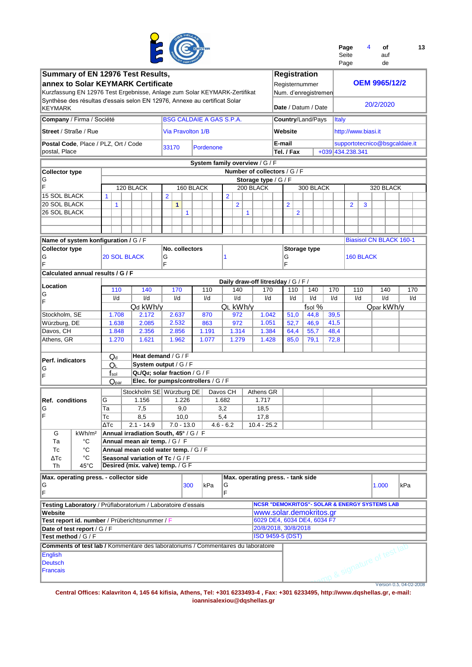

| Page  | 4 | οf  | 13 |
|-------|---|-----|----|
| Seite |   | auf |    |
|       |   |     |    |

|                                                                                      |                        |                                       |                |                          | CERT <sup>IN</sup> |           |                  |                                     |   |                         |                |     |                                                          |              | Page                          |           |           | de                   |                                |  |
|--------------------------------------------------------------------------------------|------------------------|---------------------------------------|----------------|--------------------------|--------------------|-----------|------------------|-------------------------------------|---|-------------------------|----------------|-----|----------------------------------------------------------|--------------|-------------------------------|-----------|-----------|----------------------|--------------------------------|--|
| Summary of EN 12976 Test Results,                                                    |                        |                                       |                |                          |                    |           |                  |                                     |   |                         |                |     | <b>Registration</b>                                      |              |                               |           |           |                      |                                |  |
| annex to Solar KEYMARK Certificate                                                   |                        |                                       |                |                          |                    |           |                  |                                     |   |                         |                |     | Registernummer                                           |              |                               |           |           | <b>OEM 9965/12/2</b> |                                |  |
|                                                                                      |                        |                                       |                |                          |                    |           |                  |                                     |   |                         |                |     |                                                          |              |                               |           |           |                      |                                |  |
| Kurzfassung EN 12976 Test Ergebnisse, Anlage zum Solar KEYMARK-Zertifikat            |                        |                                       |                |                          |                    |           |                  |                                     |   |                         |                |     | Num. d'enregistremen                                     |              |                               |           |           |                      |                                |  |
| Synthèse des résultas d'essais selon EN 12976, Annexe au certificat Solar<br>KEYMARK |                        |                                       |                |                          |                    |           |                  |                                     |   |                         |                |     | Date / Datum / Date                                      |              |                               |           | 20/2/2020 |                      |                                |  |
| Company / Firma / Société                                                            |                        |                                       |                |                          |                    |           |                  | <b>BSG CALDAIE A GAS S.P.A.</b>     |   |                         |                |     | Country/Land/Pays                                        | <b>Italy</b> |                               |           |           |                      |                                |  |
| <b>Street / Straße / Rue</b>                                                         |                        |                                       |                | <b>Via Pravolton 1/B</b> |                    |           |                  |                                     |   |                         | Website        |     |                                                          |              | http://www.biasi.it           |           |           |                      |                                |  |
| Postal Code, Place / PLZ, Ort / Code                                                 |                        |                                       |                | 33170                    |                    | Pordenone |                  |                                     |   |                         | E-mail         |     |                                                          |              | supportotecnico@bsgcaldaie.it |           |           |                      |                                |  |
| postal, Place                                                                        |                        |                                       |                |                          |                    |           |                  |                                     |   |                         | Tel. / Fax     |     |                                                          |              | +039 434.238.341              |           |           |                      |                                |  |
|                                                                                      |                        |                                       |                |                          |                    |           |                  | System family overview / G / F      |   |                         |                |     |                                                          |              |                               |           |           |                      |                                |  |
| <b>Collector type</b>                                                                |                        |                                       |                |                          |                    |           |                  | Number of collectors / G / F        |   |                         |                |     |                                                          |              |                               |           |           |                      |                                |  |
| G                                                                                    |                        |                                       |                |                          |                    |           |                  |                                     |   | Storage type / G / F    |                |     |                                                          |              |                               |           |           |                      |                                |  |
| F                                                                                    |                        | 120 BLACK                             |                |                          | 160 BLACK          |           |                  |                                     |   | 200 BLACK               |                |     | 300 BLACK                                                |              |                               |           |           | 320 BLACK            |                                |  |
| <b>15 SOL BLACK</b>                                                                  | $\mathbf{1}$           |                                       | $\overline{2}$ |                          |                    |           |                  | $\overline{2}$                      |   |                         |                |     |                                                          |              |                               |           |           |                      |                                |  |
| 20 SOL BLACK                                                                         | $\mathbf{1}$           |                                       |                | $\mathbf{1}$             |                    |           |                  | 2                                   |   |                         | $\overline{2}$ |     |                                                          |              | $\overline{2}$                | 3         |           |                      |                                |  |
| 26 SOL BLACK                                                                         |                        |                                       |                |                          | 1                  |           |                  |                                     | 1 |                         |                | 2   |                                                          |              |                               |           |           |                      |                                |  |
|                                                                                      |                        |                                       |                |                          |                    |           |                  |                                     |   |                         |                |     |                                                          |              |                               |           |           |                      |                                |  |
|                                                                                      |                        |                                       |                |                          |                    |           |                  |                                     |   |                         |                |     |                                                          |              |                               |           |           |                      |                                |  |
| Name of system konfiguration / G / F                                                 |                        |                                       |                |                          |                    |           |                  |                                     |   |                         |                |     |                                                          |              |                               |           |           |                      | <b>Biasisol CN BLACK 160-1</b> |  |
| <b>Collector type</b>                                                                |                        |                                       |                | No. collectors           |                    |           |                  |                                     |   |                         |                |     | <b>Storage type</b>                                      |              |                               |           |           |                      |                                |  |
| G                                                                                    | <b>20 SOL BLACK</b>    |                                       | G              |                          |                    |           |                  | 1                                   |   |                         | G              |     |                                                          |              |                               | 160 BLACK |           |                      |                                |  |
| ΙF                                                                                   |                        |                                       | F              |                          |                    |           |                  |                                     |   |                         | F              |     |                                                          |              |                               |           |           |                      |                                |  |
| Calculated annual results / G / F                                                    |                        |                                       |                |                          |                    |           |                  |                                     |   |                         |                |     |                                                          |              |                               |           |           |                      |                                |  |
|                                                                                      |                        |                                       |                |                          |                    |           |                  | Daily draw-off litres/day / G / F / |   |                         |                |     |                                                          |              |                               |           |           |                      |                                |  |
| Location                                                                             | 110                    | 140                                   |                | 170                      |                    | 110       |                  | 140                                 |   | 170                     |                | 110 | 140                                                      | 170          |                               | 110       |           | 140                  | 170                            |  |
| G                                                                                    | I/d                    | I/d                                   |                | I/d                      |                    | I/d       |                  | I/d                                 |   | I/d                     | I/d            |     | I/d                                                      | I/d          |                               | I/d       |           | I/d                  | I/d                            |  |
| ΙF                                                                                   |                        | Qd kWh/y                              |                |                          |                    |           |                  | QL kWh/y                            |   |                         |                |     | fsol %                                                   |              |                               |           |           | Qpar kWh/y           |                                |  |
| Stockholm, SE                                                                        | 1.708                  | 2.172                                 |                | 2.637                    |                    | 870       |                  | 972                                 |   | 1.042                   | 51,0           |     | 44,8                                                     | 39,5         |                               |           |           |                      |                                |  |
| Würzburg, DE                                                                         | 1.638                  | 2.085                                 |                | 2.532                    |                    | 863       |                  | 972                                 |   | 1.051                   | 52,7           |     | 46,9                                                     | 41,5         |                               |           |           |                      |                                |  |
| Davos, CH                                                                            | 1.848                  | 2.356                                 |                | 2.856                    |                    | 1.191     |                  | 1.314                               |   | 1.384                   | 64,4           |     | 55,7                                                     | 48,4         |                               |           |           |                      |                                |  |
| Athens, GR                                                                           | 1.270                  | 1.621                                 |                | 1.962                    |                    | 1.077     |                  | 1.279                               |   | 1.428                   | 85,0           |     | 79,1                                                     | 72,8         |                               |           |           |                      |                                |  |
|                                                                                      |                        |                                       |                |                          |                    |           |                  |                                     |   |                         |                |     |                                                          |              |                               |           |           |                      |                                |  |
|                                                                                      |                        | Heat demand / G / F                   |                |                          |                    |           |                  |                                     |   |                         |                |     |                                                          |              |                               |           |           |                      |                                |  |
| Perf. indicators                                                                     | $Q_d$<br>QL            | System output / G / F                 |                |                          |                    |           |                  |                                     |   |                         |                |     |                                                          |              |                               |           |           |                      |                                |  |
| G                                                                                    | $f_{sol}$              | QL/Qd; solar fraction / G / F         |                |                          |                    |           |                  |                                     |   |                         |                |     |                                                          |              |                               |           |           |                      |                                |  |
| ΙF                                                                                   | Q <sub>par</sub>       | Elec. for pumps/controllers / G / F   |                |                          |                    |           |                  |                                     |   |                         |                |     |                                                          |              |                               |           |           |                      |                                |  |
|                                                                                      |                        |                                       |                |                          |                    |           |                  |                                     |   |                         |                |     |                                                          |              |                               |           |           |                      |                                |  |
|                                                                                      |                        | Stockholm SE Würzburg DE              |                |                          |                    |           |                  | Davos CH                            |   | Athens GR               |                |     |                                                          |              |                               |           |           |                      |                                |  |
| <b>Ref. conditions</b>                                                               | G                      | 1.156                                 |                |                          | 1.226              |           | 1.682            |                                     |   | 1.717                   |                |     |                                                          |              |                               |           |           |                      |                                |  |
| IG                                                                                   | Ta                     | 7,5                                   |                |                          | 9,0                |           | 3,2              |                                     |   | 18,5                    |                |     |                                                          |              |                               |           |           |                      |                                |  |
| ΙF                                                                                   | $\overline{\text{TC}}$ | 8,5                                   |                |                          | 10,0               |           | $\overline{5,4}$ |                                     |   | 17,8                    |                |     |                                                          |              |                               |           |           |                      |                                |  |
|                                                                                      | $\Delta Tc$            | $2.1 - 14.9$                          |                |                          | $7.0 - 13.0$       |           |                  | $4.6 - 6.2$                         |   | $10.4 - 25.2$           |                |     |                                                          |              |                               |           |           |                      |                                |  |
| G<br>kWh/m <sup>2</sup>                                                              |                        | Annual irradiation South, 45° / G / F |                |                          |                    |           |                  |                                     |   |                         |                |     |                                                          |              |                               |           |           |                      |                                |  |
| Тa<br>°C                                                                             |                        | Annual mean air temp. / G / F         |                |                          |                    |           |                  |                                     |   |                         |                |     |                                                          |              |                               |           |           |                      |                                |  |
| $^{\circ}{\rm C}$<br>Tc                                                              |                        | Annual mean cold water temp. / G / F  |                |                          |                    |           |                  |                                     |   |                         |                |     |                                                          |              |                               |           |           |                      |                                |  |
| °C<br>$\Delta$ Tc                                                                    |                        | Seasonal variation of Tc / G / F      |                |                          |                    |           |                  |                                     |   |                         |                |     |                                                          |              |                               |           |           |                      |                                |  |
| $45^{\circ}$ C<br>Th                                                                 |                        | Desired (mix. valve) temp. / G F      |                |                          |                    |           |                  |                                     |   |                         |                |     |                                                          |              |                               |           |           |                      |                                |  |
| Max. operating press. - collector side                                               |                        |                                       |                |                          |                    |           |                  | Max. operating press. - tank side   |   |                         |                |     |                                                          |              |                               |           |           |                      |                                |  |
| G                                                                                    |                        |                                       |                |                          | 300                | kPa       |                  | G                                   |   |                         |                |     |                                                          |              |                               |           | 1.000     |                      | kPa                            |  |
| F                                                                                    |                        |                                       |                |                          |                    |           |                  | F                                   |   |                         |                |     |                                                          |              |                               |           |           |                      |                                |  |
| Testing Laboratory / Prüflaboratorium / Laboratoire d'essais                         |                        |                                       |                |                          |                    |           |                  |                                     |   |                         |                |     | <b>NCSR "DEMOKRITOS"- SOLAR &amp; ENERGY SYSTEMS LAB</b> |              |                               |           |           |                      |                                |  |
| Website                                                                              |                        |                                       |                |                          |                    |           |                  |                                     |   |                         |                |     | www.solar.demokritos.gr                                  |              |                               |           |           |                      |                                |  |
| Test report id. number / Prüberichtsnummer / F                                       |                        |                                       |                |                          |                    |           |                  |                                     |   |                         |                |     | 6029 DE4, 6034 DE4, 6034 F7                              |              |                               |           |           |                      |                                |  |
| Date of test report / G / F                                                          |                        |                                       |                |                          |                    |           |                  |                                     |   | 20/8/2018, 30/8/2018    |                |     |                                                          |              |                               |           |           |                      |                                |  |
| Test method / G / F                                                                  |                        |                                       |                |                          |                    |           |                  |                                     |   | <b>ISO 9459-5 (DST)</b> |                |     |                                                          |              |                               |           |           |                      |                                |  |
| Comments of test lab / Kommentare des laboratoriums / Commentaires du laboratoire    |                        |                                       |                |                          |                    |           |                  |                                     |   |                         |                |     |                                                          |              |                               |           |           |                      |                                |  |
|                                                                                      |                        |                                       |                |                          |                    |           |                  |                                     |   |                         |                |     |                                                          |              | mp & signature of test lab    |           |           |                      |                                |  |
| English<br><b>Deutsch</b>                                                            |                        |                                       |                |                          |                    |           |                  |                                     |   |                         |                |     |                                                          |              |                               |           |           |                      |                                |  |
| <b>Francais</b>                                                                      |                        |                                       |                |                          |                    |           |                  |                                     |   |                         |                |     |                                                          |              |                               |           |           |                      |                                |  |
|                                                                                      |                        |                                       |                |                          |                    |           |                  |                                     |   |                         |                |     |                                                          |              |                               |           |           |                      |                                |  |
|                                                                                      |                        |                                       |                |                          |                    |           |                  |                                     |   |                         |                |     |                                                          |              |                               |           |           |                      | Version 0.5, 04-02-2008        |  |

Version 0.5, 04-02-2008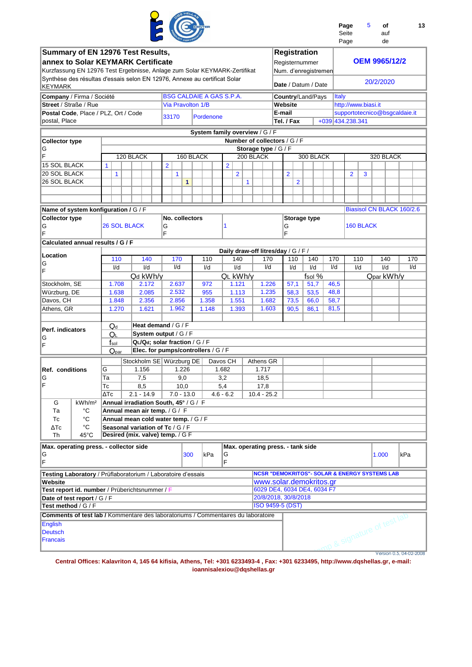|                                                                                             |                      |                                       |           |       |                                                                      |                |                                 |           |           |             |                |                |                                |               |                                     |                |                                                          |                  | Page<br>Seite<br>Page |                | 5                   |       | οf<br>auf<br>de            |                               | 13  |
|---------------------------------------------------------------------------------------------|----------------------|---------------------------------------|-----------|-------|----------------------------------------------------------------------|----------------|---------------------------------|-----------|-----------|-------------|----------------|----------------|--------------------------------|---------------|-------------------------------------|----------------|----------------------------------------------------------|------------------|-----------------------|----------------|---------------------|-------|----------------------------|-------------------------------|-----|
| Summary of EN 12976 Test Results,                                                           |                      |                                       |           |       |                                                                      |                |                                 |           |           |             |                |                |                                |               | <b>Registration</b>                 |                |                                                          |                  |                       |                |                     |       |                            |                               |     |
| annex to Solar KEYMARK Certificate                                                          |                      |                                       |           |       |                                                                      |                |                                 |           |           |             |                |                |                                |               | Registernummer                      |                |                                                          |                  |                       |                |                     |       | <b>OEM 9965/12/2</b>       |                               |     |
| Kurzfassung EN 12976 Test Ergebnisse, Anlage zum Solar KEYMARK-Zertifikat                   |                      |                                       |           |       |                                                                      |                |                                 |           |           |             |                |                |                                |               |                                     |                | Num. d'enregistremen                                     |                  |                       |                |                     |       |                            |                               |     |
| Synthèse des résultas d'essais selon EN 12976, Annexe au certificat Solar<br><b>KEYMARK</b> |                      |                                       |           |       |                                                                      |                |                                 |           |           |             |                |                |                                |               |                                     |                | Date / Datum / Date                                      |                  |                       |                |                     |       | 20/2/2020                  |                               |     |
| Company / Firma / Société                                                                   |                      |                                       |           |       |                                                                      |                | <b>BSG CALDAIE A GAS S.P.A.</b> |           |           |             |                |                |                                |               |                                     |                | Country/Land/Pays                                        |                  | <b>Italy</b>          |                |                     |       |                            |                               |     |
| Street / Straße / Rue                                                                       |                      |                                       |           |       |                                                                      |                | Via Pravolton 1/B               |           |           |             |                |                |                                |               | Website                             |                |                                                          |                  |                       |                | http://www.biasi.it |       |                            |                               |     |
| Postal Code, Place / PLZ, Ort / Code                                                        |                      |                                       |           |       |                                                                      | 33170          |                                 |           | Pordenone |             |                |                |                                |               | E-mail                              |                |                                                          |                  |                       |                |                     |       |                            | supportotecnico@bsgcaldaie.it |     |
| postal, Place                                                                               |                      |                                       |           |       |                                                                      |                |                                 |           |           |             |                |                |                                |               | Tel. / Fax                          |                |                                                          | +039 434.238.341 |                       |                |                     |       |                            |                               |     |
|                                                                                             |                      |                                       |           |       |                                                                      |                |                                 |           |           |             |                |                | System family overview / G / F |               |                                     |                |                                                          |                  |                       |                |                     |       |                            |                               |     |
| <b>Collector type</b>                                                                       |                      |                                       |           |       |                                                                      |                |                                 |           |           |             |                |                |                                |               | Number of collectors / G / F        |                |                                                          |                  |                       |                |                     |       |                            |                               |     |
| G                                                                                           |                      |                                       |           |       |                                                                      |                |                                 |           |           |             |                |                |                                |               | Storage type / G / F                |                |                                                          |                  |                       |                |                     |       |                            |                               |     |
| F                                                                                           |                      |                                       | 120 BLACK |       |                                                                      |                |                                 | 160 BLACK |           |             |                |                | 200 BLACK                      |               |                                     |                | 300 BLACK                                                |                  |                       |                |                     |       | 320 BLACK                  |                               |     |
| <b>15 SOL BLACK</b>                                                                         |                      | $\mathbf{1}$                          |           |       |                                                                      | $\overline{2}$ |                                 |           |           |             | $\overline{2}$ |                |                                |               |                                     |                |                                                          |                  |                       |                |                     |       |                            |                               |     |
| <b>20 SOL BLACK</b>                                                                         |                      | $\mathbf{1}$                          |           |       |                                                                      |                | 1                               |           |           |             |                | $\overline{2}$ |                                |               | $\overline{2}$                      |                |                                                          |                  |                       | $\overline{2}$ | 3                   |       |                            |                               |     |
| <b>26 SOL BLACK</b>                                                                         |                      |                                       |           |       |                                                                      |                | $\mathbf{1}$                    |           |           |             |                |                | $\mathbf{1}$                   |               |                                     | $\overline{2}$ |                                                          |                  |                       |                |                     |       |                            |                               |     |
|                                                                                             |                      |                                       |           |       |                                                                      |                |                                 |           |           |             |                |                |                                |               |                                     |                |                                                          |                  |                       |                |                     |       |                            |                               |     |
|                                                                                             |                      |                                       |           |       |                                                                      |                |                                 |           |           |             |                |                |                                |               |                                     |                |                                                          |                  |                       |                |                     |       |                            |                               |     |
| Name of system konfiguration / G / F                                                        |                      |                                       |           |       |                                                                      |                |                                 |           |           |             |                |                |                                |               |                                     |                |                                                          |                  |                       |                |                     |       |                            | Biasisol CN BLACK 160/2.6     |     |
| <b>Collector type</b>                                                                       |                      | <b>26 SOL BLACK</b>                   |           |       |                                                                      |                | No. collectors                  |           |           |             | 1              |                |                                |               |                                     |                | Storage type                                             |                  |                       |                | <b>160 BLACK</b>    |       |                            |                               |     |
| G<br>F                                                                                      |                      |                                       |           |       |                                                                      | G<br>F         |                                 |           |           |             |                |                |                                |               | G<br>F                              |                |                                                          |                  |                       |                |                     |       |                            |                               |     |
| Calculated annual results / G / F                                                           |                      |                                       |           |       |                                                                      |                |                                 |           |           |             |                |                |                                |               |                                     |                |                                                          |                  |                       |                |                     |       |                            |                               |     |
|                                                                                             |                      |                                       |           |       |                                                                      |                |                                 |           |           |             |                |                |                                |               | Daily draw-off litres/day / G / F / |                |                                                          |                  |                       |                |                     |       |                            |                               |     |
| Location                                                                                    |                      | 110                                   |           |       | 140                                                                  |                | 170                             |           | 110       |             |                | 140            |                                | 170           |                                     | 110            | 140                                                      | 170              |                       | 110            |                     |       | 140                        |                               | 170 |
| G<br>F                                                                                      |                      | I/d                                   |           |       | $\mathsf{I}/\mathsf{d}$                                              |                | I/d                             |           | I/d       |             |                | I/d            |                                | I/d           |                                     | I/d            | I/d                                                      | I/d              |                       | I/d            |                     |       | $\overline{V}$ d           |                               | I/d |
|                                                                                             |                      |                                       |           |       | Qd kWh/y                                                             |                |                                 |           |           |             |                |                | QL kWh/v                       |               |                                     |                | fsol %                                                   |                  |                       |                |                     |       | Qpar kWh/y                 |                               |     |
| Stockholm, SE                                                                               |                      | 1.708                                 |           |       | 2.172                                                                |                | 2.637                           |           | 972       |             |                | 1.121          |                                | 1.226         |                                     | 57,1           | 51,7                                                     | 46,5             |                       |                |                     |       |                            |                               |     |
| Würzburg, DE                                                                                |                      | 1.638                                 |           |       | 2.085                                                                |                | 2.532                           |           | 955       |             |                | 1.113          |                                | 1.235         |                                     | 58,3           | 53,5                                                     | 48,8             |                       |                |                     |       |                            |                               |     |
| Davos, CH                                                                                   |                      | 1.848                                 |           |       | 2.356                                                                |                | 2.856                           |           | 1.358     |             |                | 1.551          |                                | 1.682         |                                     | 73,5           | 66,0                                                     | 58,7             |                       |                |                     |       |                            |                               |     |
| Athens, GR                                                                                  |                      | 1.270                                 |           |       | 1.621                                                                |                | 1.962                           |           | 1.148     |             |                | 1.393          |                                | 1.603         |                                     | 90,5           | 86,1                                                     | 81,5             |                       |                |                     |       |                            |                               |     |
|                                                                                             |                      | $Q_d$                                 |           |       | Heat demand / G / F                                                  |                |                                 |           |           |             |                |                |                                |               |                                     |                |                                                          |                  |                       |                |                     |       |                            |                               |     |
| Perf. indicators                                                                            |                      | QL                                    |           |       | System output / G / F                                                |                |                                 |           |           |             |                |                |                                |               |                                     |                |                                                          |                  |                       |                |                     |       |                            |                               |     |
| G                                                                                           |                      | $f_{\rm sol}$                         |           |       | QL/Qd: solar fraction / G / F                                        |                |                                 |           |           |             |                |                |                                |               |                                     |                |                                                          |                  |                       |                |                     |       |                            |                               |     |
| F                                                                                           |                      | $\mathsf{Q}_{\text{par}}$             |           |       | Elec. for pumps/controllers / G / F                                  |                |                                 |           |           |             |                |                |                                |               |                                     |                |                                                          |                  |                       |                |                     |       |                            |                               |     |
|                                                                                             |                      |                                       |           |       | Stockholm SE Würzburg DE   Davos CH                                  |                |                                 |           |           |             |                |                |                                | Athens GR     |                                     |                |                                                          |                  |                       |                |                     |       |                            |                               |     |
| <b>Ref. conditions</b>                                                                      |                      | lG.                                   |           | 1.156 |                                                                      |                | 1.226                           |           |           | 1.682       |                |                |                                | 1.717         |                                     |                |                                                          |                  |                       |                |                     |       |                            |                               |     |
| G                                                                                           |                      | Тa                                    |           | 7,5   |                                                                      |                | 9,0                             |           |           | 3,2         |                |                |                                | 18,5          |                                     |                |                                                          |                  |                       |                |                     |       |                            |                               |     |
| F                                                                                           |                      | Тc                                    |           | 8,5   |                                                                      |                | 10,0                            |           |           | 5,4         |                |                |                                | 17,8          |                                     |                |                                                          |                  |                       |                |                     |       |                            |                               |     |
|                                                                                             |                      | $\Delta$ Tc                           |           |       | $2.1 - 14.9$                                                         |                | $7.0 - 13.0$                    |           |           | $4.6 - 6.2$ |                |                |                                | $10.4 - 25.2$ |                                     |                |                                                          |                  |                       |                |                     |       |                            |                               |     |
| G                                                                                           | kWh/m <sup>2</sup>   | Annual irradiation South, 45° / G / F |           |       |                                                                      |                |                                 |           |           |             |                |                |                                |               |                                     |                |                                                          |                  |                       |                |                     |       |                            |                               |     |
| Ta                                                                                          | °C                   |                                       |           |       | Annual mean air temp. / G / F                                        |                |                                 |           |           |             |                |                |                                |               |                                     |                |                                                          |                  |                       |                |                     |       |                            |                               |     |
| Tc                                                                                          | $^{\circ}C$          |                                       |           |       | Annual mean cold water temp. / G / F                                 |                |                                 |           |           |             |                |                |                                |               |                                     |                |                                                          |                  |                       |                |                     |       |                            |                               |     |
| $\Delta$ Tc<br>Th                                                                           | °C<br>$45^{\circ}$ C |                                       |           |       | Seasonal variation of Tc / G / F<br>Desired (mix. valve) temp. / G F |                |                                 |           |           |             |                |                |                                |               |                                     |                |                                                          |                  |                       |                |                     |       |                            |                               |     |
|                                                                                             |                      |                                       |           |       |                                                                      |                |                                 |           |           |             |                |                |                                |               |                                     |                |                                                          |                  |                       |                |                     |       |                            |                               |     |
| Max. operating press. - collector side                                                      |                      |                                       |           |       |                                                                      |                |                                 |           | kPa       |             |                |                |                                |               | Max. operating press. - tank side   |                |                                                          |                  |                       |                |                     |       |                            |                               |     |
| G<br>F                                                                                      |                      |                                       |           |       |                                                                      |                | 300                             |           |           |             | G<br>F         |                |                                |               |                                     |                |                                                          |                  |                       |                |                     | 1.000 |                            | kPa                           |     |
| <b>Testing Laboratory</b> / Prüflaboratorium / Laboratoire d'essais                         |                      |                                       |           |       |                                                                      |                |                                 |           |           |             |                |                |                                |               |                                     |                | <b>NCSR "DEMOKRITOS"- SOLAR &amp; ENERGY SYSTEMS LAB</b> |                  |                       |                |                     |       |                            |                               |     |
| Website                                                                                     |                      |                                       |           |       |                                                                      |                |                                 |           |           |             |                |                |                                |               |                                     |                | www.solar.demokritos.gr                                  |                  |                       |                |                     |       |                            |                               |     |
| Test report id. number / Prüberichtsnummer / F                                              |                      |                                       |           |       |                                                                      |                |                                 |           |           |             |                |                |                                |               |                                     |                | 6029 DE4, 6034 DE4, 6034 F7                              |                  |                       |                |                     |       |                            |                               |     |
| Date of test report / G / F                                                                 |                      |                                       |           |       |                                                                      |                |                                 |           |           |             |                |                |                                |               | 20/8/2018, 30/8/2018                |                |                                                          |                  |                       |                |                     |       |                            |                               |     |
| Test method / G / F                                                                         |                      |                                       |           |       |                                                                      |                |                                 |           |           |             |                |                |                                |               | <b>ISO 9459-5 (DST)</b>             |                |                                                          |                  |                       |                |                     |       |                            |                               |     |
| <b>Comments of test lab / Kommentare des laboratoriums / Commentaires du laboratoire</b>    |                      |                                       |           |       |                                                                      |                |                                 |           |           |             |                |                |                                |               |                                     |                |                                                          |                  |                       |                |                     |       |                            |                               |     |
| <b>English</b>                                                                              |                      |                                       |           |       |                                                                      |                |                                 |           |           |             |                |                |                                |               |                                     |                |                                                          |                  |                       |                |                     |       |                            |                               |     |
| <b>Deutsch</b><br><b>Francais</b>                                                           |                      |                                       |           |       |                                                                      |                |                                 |           |           |             |                |                |                                |               |                                     |                |                                                          |                  |                       |                |                     |       | mp & signature of test lab |                               |     |
|                                                                                             |                      |                                       |           |       |                                                                      |                |                                 |           |           |             |                |                |                                |               |                                     |                |                                                          |                  |                       |                |                     |       |                            |                               |     |
|                                                                                             |                      |                                       |           |       |                                                                      |                |                                 |           |           |             |                |                |                                |               |                                     |                |                                                          |                  |                       |                |                     |       |                            | Version 0.5, 04-02-2008       |     |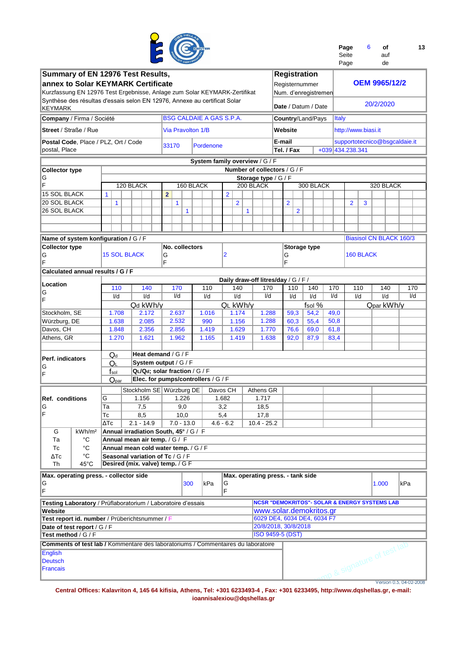

| Page  | 6 | οf  | 13 |
|-------|---|-----|----|
| Seite |   | auf |    |
| Page  |   | de  |    |

| Summary of EN 12976 Test Results,                                                 |                           |                                       |                          |                                     |                                     |                                   | <b>Registration</b>         |           |              |                  |                                                          |                         |
|-----------------------------------------------------------------------------------|---------------------------|---------------------------------------|--------------------------|-------------------------------------|-------------------------------------|-----------------------------------|-----------------------------|-----------|--------------|------------------|----------------------------------------------------------|-------------------------|
| annex to Solar KEYMARK Certificate                                                |                           |                                       |                          |                                     |                                     |                                   | Registernummer              |           |              |                  | <b>OEM 9965/12/2</b>                                     |                         |
|                                                                                   |                           |                                       |                          |                                     |                                     |                                   |                             |           |              |                  |                                                          |                         |
| Kurzfassung EN 12976 Test Ergebnisse, Anlage zum Solar KEYMARK-Zertifikat         |                           |                                       |                          |                                     |                                     |                                   | Num. d'enregistremen        |           |              |                  |                                                          |                         |
| Synthèse des résultas d'essais selon EN 12976, Annexe au certificat Solar         |                           |                                       |                          |                                     |                                     |                                   |                             |           |              |                  | 20/2/2020                                                |                         |
| KEYMARK                                                                           |                           |                                       |                          |                                     |                                     |                                   | Date / Datum / Date         |           |              |                  |                                                          |                         |
| Company / Firma / Société                                                         |                           |                                       |                          | <b>BSG CALDAIE A GAS S.P.A.</b>     |                                     |                                   | <b>Country/Land/Pays</b>    |           | <b>Italy</b> |                  |                                                          |                         |
|                                                                                   |                           |                                       |                          |                                     |                                     |                                   |                             |           |              |                  |                                                          |                         |
| <b>Street / Straße / Rue</b>                                                      |                           |                                       | <b>Via Pravolton 1/B</b> |                                     |                                     |                                   | Website                     |           |              |                  | http://www.biasi.it                                      |                         |
|                                                                                   |                           |                                       |                          |                                     |                                     |                                   |                             |           |              |                  |                                                          |                         |
| Postal Code, Place / PLZ, Ort / Code                                              |                           |                                       | 33170                    | Pordenone                           |                                     |                                   | E-mail                      |           |              |                  | supportotecnico@bsgcaldaie.it                            |                         |
| postal, Place                                                                     |                           |                                       |                          |                                     |                                     |                                   | Tel. / Fax                  |           |              | +039 434.238.341 |                                                          |                         |
|                                                                                   |                           |                                       |                          | System family overview / G / F      |                                     |                                   |                             |           |              |                  |                                                          |                         |
|                                                                                   |                           |                                       |                          |                                     |                                     |                                   |                             |           |              |                  |                                                          |                         |
| <b>Collector type</b>                                                             |                           |                                       |                          |                                     |                                     | Number of collectors / G / F      |                             |           |              |                  |                                                          |                         |
| G                                                                                 |                           |                                       |                          |                                     |                                     | Storage type / G / F              |                             |           |              |                  |                                                          |                         |
| F                                                                                 |                           | 120 BLACK                             |                          | 160 BLACK                           |                                     | 200 BLACK                         |                             | 300 BLACK |              |                  | 320 BLACK                                                |                         |
| 15 SOL BLACK                                                                      | $\mathbf{1}$              |                                       | $\overline{2}$           |                                     | $\overline{2}$                      |                                   |                             |           |              |                  |                                                          |                         |
| <b>20 SOL BLACK</b>                                                               | $\mathbf{1}$              |                                       | 1                        |                                     | $\overline{2}$                      |                                   | $\overline{2}$              |           |              | $\overline{2}$   | 3                                                        |                         |
| <b>26 SOL BLACK</b>                                                               |                           |                                       | $\mathbf{1}$             |                                     |                                     | 1                                 | $\overline{2}$              |           |              |                  |                                                          |                         |
|                                                                                   |                           |                                       |                          |                                     |                                     |                                   |                             |           |              |                  |                                                          |                         |
|                                                                                   |                           |                                       |                          |                                     |                                     |                                   |                             |           |              |                  |                                                          |                         |
|                                                                                   |                           |                                       |                          |                                     |                                     |                                   |                             |           |              |                  |                                                          |                         |
| Name of system konfiguration / G / F                                              |                           |                                       |                          |                                     |                                     |                                   |                             |           |              |                  | <b>Biasisol CN BLACK 160/3</b>                           |                         |
| <b>Collector type</b>                                                             |                           |                                       | No. collectors           |                                     |                                     |                                   | Storage type                |           |              |                  |                                                          |                         |
|                                                                                   | <b>15 SOL BLACK</b>       |                                       |                          |                                     | 2                                   |                                   |                             |           |              | 160 BLACK        |                                                          |                         |
| G<br>F                                                                            |                           |                                       | G<br>F                   |                                     |                                     |                                   | G<br>E                      |           |              |                  |                                                          |                         |
|                                                                                   |                           |                                       |                          |                                     |                                     |                                   |                             |           |              |                  |                                                          |                         |
| Calculated annual results / G / F                                                 |                           |                                       |                          |                                     |                                     |                                   |                             |           |              |                  |                                                          |                         |
|                                                                                   |                           |                                       |                          |                                     | Daily draw-off litres/day / G / F / |                                   |                             |           |              |                  |                                                          |                         |
| Location                                                                          | 110                       | 140                                   | 170                      | 110                                 | 140                                 | 170                               | 110                         | 140       | 170          | 110              | 140                                                      | 170                     |
| ΙG                                                                                | I/d                       | I/d                                   | I/d                      | I/d                                 | I/d                                 | $\mathsf{Id}$                     | I/d                         | I/d       | I/d          | I/d              | I/d                                                      | I/d                     |
| ΙF                                                                                |                           | Qd kWh/y                              |                          |                                     | QL kWh/y                            |                                   |                             | fsol %    |              |                  | Qpar kWh/y                                               |                         |
|                                                                                   |                           |                                       |                          |                                     |                                     |                                   |                             |           |              |                  |                                                          |                         |
| Stockholm, SE                                                                     | 1.708                     | 2.172                                 | 2.637                    | 1.016                               | 1.174                               | 1.288                             | 59,3                        | 54,2      | 49,0         |                  |                                                          |                         |
| Würzburg, DE                                                                      | 1.638                     | 2.085                                 | 2.532                    | 990                                 | 1.156                               | 1.288                             | 60,3                        | 55,4      | 50,8         |                  |                                                          |                         |
| Davos, CH                                                                         | 1.848                     | 2.356                                 | 2.856                    | 1.419                               | 1.629                               | 1.770                             | 76,6                        | 69,0      | 61,8         |                  |                                                          |                         |
| Athens, GR                                                                        | 1.270                     | 1.621                                 | 1.962                    | 1.165                               | 1.419                               | 1.638                             | 92,0                        | 87,9      | 83,4         |                  |                                                          |                         |
|                                                                                   |                           |                                       |                          |                                     |                                     |                                   |                             |           |              |                  |                                                          |                         |
|                                                                                   |                           | Heat demand / G / F                   |                          |                                     |                                     |                                   |                             |           |              |                  |                                                          |                         |
| Perf. indicators                                                                  | $\mathbf{Q}_{\mathsf{d}}$ |                                       |                          |                                     |                                     |                                   |                             |           |              |                  |                                                          |                         |
| ΙG                                                                                | QL                        | System output / G / F                 |                          |                                     |                                     |                                   |                             |           |              |                  |                                                          |                         |
| ΙF                                                                                | $f_{\rm sol}$             | QL/Qd; solar fraction / G / F         |                          |                                     |                                     |                                   |                             |           |              |                  |                                                          |                         |
|                                                                                   | $Q_{par}$                 |                                       |                          | Elec. for pumps/controllers / G / F |                                     |                                   |                             |           |              |                  |                                                          |                         |
|                                                                                   |                           | Stockholm SE Würzburg DE              |                          |                                     | Davos CH                            | Athens GR                         |                             |           |              |                  |                                                          |                         |
|                                                                                   |                           |                                       |                          |                                     |                                     |                                   |                             |           |              |                  |                                                          |                         |
| Ref. conditions                                                                   | G                         | 1.156                                 | 1.226                    |                                     | 1.682                               | 1.717                             |                             |           |              |                  |                                                          |                         |
| IG                                                                                | Тa                        | 7,5                                   | 9,0                      |                                     | 3,2                                 | 18,5                              |                             |           |              |                  |                                                          |                         |
| ΙF                                                                                | Тc                        | 8,5                                   | 10,0                     |                                     | 5,4                                 | 17,8                              |                             |           |              |                  |                                                          |                         |
|                                                                                   | ΔТс                       | $2.1 - 14.9$                          | $7.0 - 13.0$             |                                     | $4.6 - 6.2$                         | $10.4 - 25.2$                     |                             |           |              |                  |                                                          |                         |
| G<br>kWh/m <sup>2</sup>                                                           |                           | Annual irradiation South, 45° / G / F |                          |                                     |                                     |                                   |                             |           |              |                  |                                                          |                         |
| °C<br>Тa                                                                          |                           | Annual mean air temp. / G / F         |                          |                                     |                                     |                                   |                             |           |              |                  |                                                          |                         |
|                                                                                   |                           |                                       |                          |                                     |                                     |                                   |                             |           |              |                  |                                                          |                         |
| °C<br>Тc                                                                          |                           | Annual mean cold water temp. / G / F  |                          |                                     |                                     |                                   |                             |           |              |                  |                                                          |                         |
| °C<br>ΔTc                                                                         |                           | Seasonal variation of Tc / G / F      |                          |                                     |                                     |                                   |                             |           |              |                  |                                                          |                         |
| Th<br>45°C                                                                        |                           | Desired (mix. valve) temp. / G F      |                          |                                     |                                     |                                   |                             |           |              |                  |                                                          |                         |
| Max. operating press. - collector side                                            |                           |                                       |                          |                                     |                                     | Max. operating press. - tank side |                             |           |              |                  |                                                          |                         |
|                                                                                   |                           |                                       |                          | kPa                                 |                                     |                                   |                             |           |              |                  | 1.000                                                    | kPa                     |
| G<br>F                                                                            |                           |                                       | 300                      |                                     | G<br>F                              |                                   |                             |           |              |                  |                                                          |                         |
|                                                                                   |                           |                                       |                          |                                     |                                     |                                   |                             |           |              |                  |                                                          |                         |
| Testing Laboratory / Prüflaboratorium / Laboratoire d'essais                      |                           |                                       |                          |                                     |                                     |                                   |                             |           |              |                  | <b>NCSR "DEMOKRITOS"- SOLAR &amp; ENERGY SYSTEMS LAB</b> |                         |
| Website                                                                           |                           |                                       |                          |                                     |                                     |                                   | www.solar.demokritos.gr     |           |              |                  |                                                          |                         |
| Test report id. number / Prüberichtsnummer / F                                    |                           |                                       |                          |                                     |                                     |                                   | 6029 DE4, 6034 DE4, 6034 F7 |           |              |                  |                                                          |                         |
|                                                                                   |                           |                                       |                          |                                     |                                     |                                   | 20/8/2018, 30/8/2018        |           |              |                  |                                                          |                         |
| Date of test report / G / F                                                       |                           |                                       |                          |                                     |                                     |                                   |                             |           |              |                  |                                                          |                         |
| Test method / G / F                                                               |                           |                                       |                          |                                     |                                     |                                   | <b>ISO 9459-5 (DST)</b>     |           |              |                  |                                                          |                         |
| Comments of test lab / Kommentare des laboratoriums / Commentaires du laboratoire |                           |                                       |                          |                                     |                                     |                                   |                             |           |              |                  | mp & signature of test lab                               |                         |
| English                                                                           |                           |                                       |                          |                                     |                                     |                                   |                             |           |              |                  |                                                          |                         |
| <b>Deutsch</b>                                                                    |                           |                                       |                          |                                     |                                     |                                   |                             |           |              |                  |                                                          |                         |
| Francais                                                                          |                           |                                       |                          |                                     |                                     |                                   |                             |           |              |                  |                                                          |                         |
|                                                                                   |                           |                                       |                          |                                     |                                     |                                   |                             |           |              |                  |                                                          |                         |
|                                                                                   |                           |                                       |                          |                                     |                                     |                                   |                             |           |              |                  |                                                          | Version 0.5, 04-02-2008 |
|                                                                                   |                           |                                       |                          |                                     |                                     |                                   |                             |           |              |                  |                                                          |                         |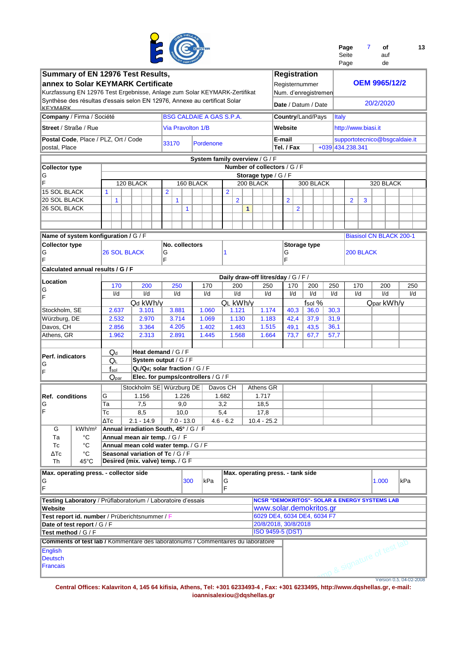

| Page  | Ωf  | 13 |
|-------|-----|----|
| Seite | auf |    |
| Page  | de  |    |

| Summary of EN 12976 Test Results,                                                           |                        |                                                       |                               |                                     |                |                                     | <b>Registration</b>         |           |                         | ı ayu               |                                                          |                         |
|---------------------------------------------------------------------------------------------|------------------------|-------------------------------------------------------|-------------------------------|-------------------------------------|----------------|-------------------------------------|-----------------------------|-----------|-------------------------|---------------------|----------------------------------------------------------|-------------------------|
| annex to Solar KEYMARK Certificate                                                          |                        |                                                       |                               |                                     |                |                                     | Registernummer              |           |                         |                     | <b>OEM 9965/12/2</b>                                     |                         |
| Kurzfassung EN 12976 Test Ergebnisse, Anlage zum Solar KEYMARK-Zertifikat                   |                        |                                                       |                               |                                     |                |                                     | Num. d'enregistremen        |           |                         |                     |                                                          |                         |
| Synthèse des résultas d'essais selon EN 12976, Annexe au certificat Solar<br><b>KEVMARK</b> |                        |                                                       |                               |                                     |                |                                     | Date / Datum / Date         |           |                         |                     | 20/2/2020                                                |                         |
| Company / Firma / Société                                                                   |                        |                                                       |                               | <b>BSG CALDAIE A GAS S.P.A.</b>     |                |                                     | <b>Country/Land/Pays</b>    |           | <b>Italy</b>            |                     |                                                          |                         |
| Street / Straße / Rue                                                                       |                        |                                                       | Via Pravolton 1/B             |                                     |                |                                     | Website                     |           |                         | http://www.biasi.it |                                                          |                         |
| Postal Code, Place / PLZ, Ort / Code                                                        |                        |                                                       | 33170                         | Pordenone                           |                |                                     | E-mail                      |           |                         |                     | supportotecnico@bsgcaldaie.it                            |                         |
| postal, Place                                                                               |                        |                                                       |                               |                                     |                |                                     | Tel. / Fax                  |           |                         | +039 434, 238, 341  |                                                          |                         |
|                                                                                             |                        |                                                       |                               | System family overview / G / F      |                |                                     |                             |           |                         |                     |                                                          |                         |
| <b>Collector type</b>                                                                       |                        |                                                       |                               |                                     |                | Number of collectors / G / F        |                             |           |                         |                     |                                                          |                         |
| G<br>ΙF                                                                                     |                        | 120 BLACK                                             |                               | 160 BLACK                           |                | Storage type / G / F<br>200 BLACK   |                             | 300 BLACK |                         |                     | 320 BLACK                                                |                         |
| 15 SOL BLACK                                                                                | $\mathbf{1}$           |                                                       | $\overline{2}$                |                                     | $\overline{2}$ |                                     |                             |           |                         |                     |                                                          |                         |
| <b>20 SOL BLACK</b>                                                                         | $\mathbf{1}$           |                                                       | $\mathbf{1}$                  |                                     | $\overline{2}$ |                                     | $\overline{2}$              |           |                         | $\overline{2}$      | 3                                                        |                         |
| <b>26 SOL BLACK</b>                                                                         |                        |                                                       | $\mathbf{1}$                  |                                     |                | 1                                   | $\overline{2}$              |           |                         |                     |                                                          |                         |
|                                                                                             |                        |                                                       |                               |                                     |                |                                     |                             |           |                         |                     |                                                          |                         |
|                                                                                             |                        |                                                       |                               |                                     |                |                                     |                             |           |                         |                     |                                                          |                         |
| Name of system konfiguration / G / F                                                        |                        |                                                       |                               |                                     |                |                                     |                             |           |                         |                     | <b>Biasisol CN BLACK 200-1</b>                           |                         |
| <b>Collector type</b>                                                                       |                        |                                                       | No. collectors                |                                     |                |                                     | <b>Storage type</b>         |           |                         |                     |                                                          |                         |
| G<br>F                                                                                      | <b>26 SOL BLACK</b>    |                                                       | G<br>F                        |                                     | 1              |                                     | G<br>F                      |           |                         | 200 BLACK           |                                                          |                         |
| Calculated annual results / G / F                                                           |                        |                                                       |                               |                                     |                | Daily draw-off litres/day / G / F / |                             |           |                         |                     |                                                          |                         |
| Location                                                                                    | 170                    | 200                                                   | 250                           | 170                                 | 200            | 250                                 | 170                         | 200       | 250                     | 170                 | 200                                                      | 250                     |
| ΙG<br>F                                                                                     | I/d                    | I/d                                                   | I/d                           | I/d                                 | I/d            | I/d                                 | I/d                         | I/d       | $\mathsf{I}/\mathsf{d}$ | I/d                 | I/d                                                      | I/d                     |
|                                                                                             |                        | Qd kWh/y                                              |                               |                                     | QL kWh/y       |                                     |                             | fsol $%$  |                         |                     | Qpar kWh/y                                               |                         |
| Stockholm, SE                                                                               | 2.637                  | 3.101                                                 | 3.881                         | 1.060                               | 1.121          | 1.174                               | 40,3                        | 36,0      | 30,3                    |                     |                                                          |                         |
| Würzburg, DE                                                                                | 2.532                  | 2.970                                                 | 3.714                         | 1.069                               | 1.130          | 1.183                               | 42,4                        | 37,9      | 31,9                    |                     |                                                          |                         |
| Davos, CH                                                                                   | 2.856                  | 3.364                                                 | 4.205                         | 1.402                               | 1.463          | 1.515                               | 49,1                        | 43,5      | 36,1                    |                     |                                                          |                         |
| Athens, GR                                                                                  | 1.962                  | 2.313                                                 | 2.891                         | 1.445                               | 1.568          | 1.664                               | 73,7                        | 67,7      | 57,7                    |                     |                                                          |                         |
|                                                                                             | $Q_d$                  | Heat demand / G / F                                   |                               |                                     |                |                                     |                             |           |                         |                     |                                                          |                         |
| Perf. indicators                                                                            | QL                     |                                                       | System output / G / F         |                                     |                |                                     |                             |           |                         |                     |                                                          |                         |
| G<br>ΙF                                                                                     | $f_{\rm sol}$          |                                                       | QL/Qd; solar fraction / G / F |                                     |                |                                     |                             |           |                         |                     |                                                          |                         |
|                                                                                             | $Q_{par}$              |                                                       |                               | Elec. for pumps/controllers / G / F |                |                                     |                             |           |                         |                     |                                                          |                         |
|                                                                                             |                        | Stockholm SE Würzburg DE                              |                               |                                     | Davos CH       | Athens GR                           |                             |           |                         |                     |                                                          |                         |
| Ref. conditions                                                                             | G                      | 1.156                                                 | 1.226                         |                                     | 1.682          | 1.717                               |                             |           |                         |                     |                                                          |                         |
| IG                                                                                          | Ta                     | 7,5                                                   | 9,0                           |                                     | 3,2            | 18,5                                |                             |           |                         |                     |                                                          |                         |
| IF                                                                                          | Тc                     | 8,5                                                   | 10,0                          |                                     | 5,4            | 17,8                                |                             |           |                         |                     |                                                          |                         |
| G<br>kWh/m <sup>2</sup>                                                                     | $\overline{\Delta Tc}$ | $2.1 - 14.9$<br>Annual irradiation South, 45° / G / F | $7.0 - 13.0$                  |                                     | $4.6 - 6.2$    | $10.4 - 25.2$                       |                             |           |                         |                     |                                                          |                         |
| °C<br>Тa                                                                                    |                        | Annual mean air temp. / G / F                         |                               |                                     |                |                                     |                             |           |                         |                     |                                                          |                         |
| $^{\circ}C$<br>Тc                                                                           |                        | Annual mean cold water temp. / G / F                  |                               |                                     |                |                                     |                             |           |                         |                     |                                                          |                         |
| °C<br>$\Delta Tc$                                                                           |                        | Seasonal variation of Tc / G / F                      |                               |                                     |                |                                     |                             |           |                         |                     |                                                          |                         |
| Th<br>45°C                                                                                  |                        | Desired (mix. valve) temp. / G F                      |                               |                                     |                |                                     |                             |           |                         |                     |                                                          |                         |
| Max. operating press. - collector side                                                      |                        |                                                       |                               |                                     |                | Max. operating press. - tank side   |                             |           |                         |                     |                                                          |                         |
| G                                                                                           |                        |                                                       | 300                           | kPa                                 | G              |                                     |                             |           |                         |                     | 1.000                                                    | kPa                     |
| F                                                                                           |                        |                                                       |                               |                                     | F              |                                     |                             |           |                         |                     |                                                          |                         |
| Testing Laboratory / Prüflaboratorium / Laboratoire d'essais                                |                        |                                                       |                               |                                     |                |                                     |                             |           |                         |                     | <b>NCSR "DEMOKRITOS"- SOLAR &amp; ENERGY SYSTEMS LAB</b> |                         |
| Website                                                                                     |                        |                                                       |                               |                                     |                |                                     | www.solar.demokritos.gr     |           |                         |                     |                                                          |                         |
| Test report id. number / Prüberichtsnummer / F                                              |                        |                                                       |                               |                                     |                |                                     | 6029 DE4, 6034 DE4, 6034 F7 |           |                         |                     |                                                          |                         |
| Date of test report / G / F                                                                 |                        |                                                       |                               |                                     |                |                                     | 20/8/2018, 30/8/2018        |           |                         |                     |                                                          |                         |
| Test method / G / F                                                                         |                        |                                                       |                               |                                     |                |                                     | <b>ISO 9459-5 (DST)</b>     |           |                         |                     |                                                          |                         |
| <b>Comments of test lab / Kommentare des laboratoriums / Commentaires du laboratoire</b>    |                        |                                                       |                               |                                     |                |                                     |                             |           |                         |                     |                                                          |                         |
| English<br><b>Deutsch</b>                                                                   |                        |                                                       |                               |                                     |                |                                     |                             |           |                         |                     |                                                          |                         |
| <b>Francais</b>                                                                             |                        |                                                       |                               |                                     |                |                                     |                             |           |                         |                     | np & signature of test lab                               |                         |
|                                                                                             |                        |                                                       |                               |                                     |                |                                     |                             |           |                         |                     |                                                          |                         |
|                                                                                             |                        |                                                       |                               |                                     |                |                                     |                             |           |                         |                     |                                                          | Version 0.5, 04-02-2008 |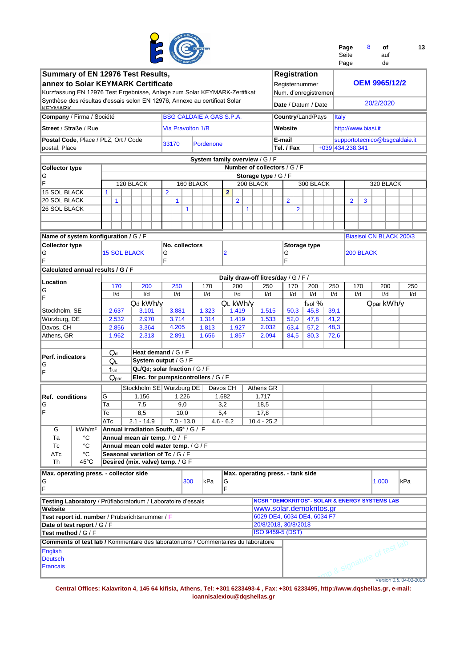

| Page  | 8 | οf  | 13 |
|-------|---|-----|----|
| Seite |   | auf |    |
| Page  |   | de  |    |

| Summary of EN 12976 Test Results,                                                        |                     |                                       |                   |                                     |                                     |                          |                     | <b>Registration</b>                                    |           |                    |                     |     |                                                          |                         |
|------------------------------------------------------------------------------------------|---------------------|---------------------------------------|-------------------|-------------------------------------|-------------------------------------|--------------------------|---------------------|--------------------------------------------------------|-----------|--------------------|---------------------|-----|----------------------------------------------------------|-------------------------|
| annex to Solar KEYMARK Certificate                                                       |                     |                                       |                   |                                     |                                     |                          |                     | Registernummer                                         |           |                    |                     |     | <b>OEM 9965/12/2</b>                                     |                         |
| Kurzfassung EN 12976 Test Ergebnisse, Anlage zum Solar KEYMARK-Zertifikat                |                     |                                       |                   |                                     |                                     |                          |                     |                                                        |           |                    |                     |     |                                                          |                         |
|                                                                                          |                     |                                       |                   |                                     |                                     |                          |                     | Num. d'enregistremen                                   |           |                    |                     |     |                                                          |                         |
| Synthèse des résultas d'essais selon EN 12976, Annexe au certificat Solar<br>KEVMARK     |                     |                                       |                   |                                     |                                     |                          |                     | Date / Datum / Date                                    |           |                    |                     |     | 20/2/2020                                                |                         |
| Company / Firma / Société                                                                |                     |                                       |                   | <b>BSG CALDAIE A GAS S.P.A.</b>     |                                     |                          |                     | Country/Land/Pays                                      |           | <b>Italy</b>       |                     |     |                                                          |                         |
| Street / Straße / Rue                                                                    |                     |                                       | Via Pravolton 1/B |                                     |                                     |                          |                     | Website                                                |           |                    | http://www.biasi.it |     |                                                          |                         |
| Postal Code, Place / PLZ, Ort / Code                                                     |                     |                                       |                   |                                     |                                     |                          |                     | E-mail                                                 |           |                    |                     |     | supportotecnico@bsgcaldaie.it                            |                         |
| postal, Place                                                                            |                     |                                       | 33170             | Pordenone                           |                                     |                          |                     | Tel. / Fax                                             |           | +039 434, 238, 341 |                     |     |                                                          |                         |
|                                                                                          |                     |                                       |                   |                                     |                                     |                          |                     |                                                        |           |                    |                     |     |                                                          |                         |
|                                                                                          |                     |                                       |                   | System family overview / G / F      |                                     |                          |                     |                                                        |           |                    |                     |     |                                                          |                         |
| <b>Collector type</b>                                                                    |                     |                                       |                   |                                     |                                     |                          |                     | Number of collectors / G / F                           |           |                    |                     |     |                                                          |                         |
| IG                                                                                       |                     |                                       |                   |                                     |                                     | Storage type / $G$ / $F$ |                     |                                                        |           |                    |                     |     |                                                          |                         |
| ΙF                                                                                       |                     | 120 BLACK                             |                   | 160 BLACK                           |                                     | 200 BLACK                |                     |                                                        | 300 BLACK |                    |                     |     | 320 BLACK                                                |                         |
| <b>15 SOL BLACK</b>                                                                      | $\mathbf{1}$        |                                       | $\overline{2}$    |                                     | $\overline{2}$                      |                          |                     |                                                        |           |                    |                     |     |                                                          |                         |
| <b>20 SOL BLACK</b>                                                                      | $\mathbf{1}$        |                                       | $\mathbf{1}$      |                                     | $\overline{2}$                      |                          |                     | $\overline{2}$                                         |           |                    | $\overline{2}$      | 3   |                                                          |                         |
| <b>26 SOL BLACK</b>                                                                      |                     |                                       | $\mathbf{1}$      |                                     |                                     | $\mathbf{1}$             |                     | $\overline{2}$                                         |           |                    |                     |     |                                                          |                         |
|                                                                                          |                     |                                       |                   |                                     |                                     |                          |                     |                                                        |           |                    |                     |     |                                                          |                         |
|                                                                                          |                     |                                       |                   |                                     |                                     |                          |                     |                                                        |           |                    |                     |     |                                                          |                         |
|                                                                                          |                     |                                       |                   |                                     |                                     |                          |                     |                                                        |           |                    |                     |     |                                                          |                         |
| Name of system konfiguration / G / F                                                     |                     |                                       |                   |                                     |                                     |                          |                     |                                                        |           |                    |                     |     | <b>Biasisol CN BLACK 200/3</b>                           |                         |
| <b>Collector type</b>                                                                    |                     |                                       | No. collectors    |                                     |                                     |                          | <b>Storage type</b> |                                                        |           |                    |                     |     |                                                          |                         |
| G                                                                                        | <b>15 SOL BLACK</b> |                                       | G                 |                                     | $\overline{2}$                      |                          | G                   |                                                        |           |                    | 200 BLACK           |     |                                                          |                         |
| F                                                                                        |                     |                                       | F                 |                                     |                                     |                          | F                   |                                                        |           |                    |                     |     |                                                          |                         |
| Calculated annual results / G / F                                                        |                     |                                       |                   |                                     |                                     |                          |                     |                                                        |           |                    |                     |     |                                                          |                         |
| Location                                                                                 |                     |                                       |                   |                                     | Daily draw-off litres/day / G / F / |                          |                     |                                                        |           |                    |                     |     |                                                          |                         |
| ΙG                                                                                       | 170                 | 200                                   | 250               | 170                                 | 200                                 | 250                      | 170                 | 200                                                    | 250       | 170                |                     | 200 | 250                                                      |                         |
| F                                                                                        | I/d                 | I/d                                   | I/d               | I/d                                 | I/d                                 | I/d                      | I/d                 | I/d                                                    | I/d       | I/d                |                     | I/d | I/d                                                      |                         |
|                                                                                          |                     | Qd kWh/y                              |                   |                                     | QL kWh/v                            |                          |                     |                                                        | fsol $%$  |                    |                     |     | Qpar kWh/y                                               |                         |
| Stockholm, SE                                                                            | 2.637               | 3.101                                 | 3.881             | 1.323                               | 1.419                               |                          | 1.515               | 50,3                                                   | 45,8      | 39,1               |                     |     |                                                          |                         |
| Würzburg, DE                                                                             | 2.532               | 2.970                                 | 3.714             | 1.314                               | 1.419                               |                          | 1.533               | 52,0                                                   | 47,8      | 41,2               |                     |     |                                                          |                         |
| Davos, CH                                                                                | 2.856               | 3.364                                 | 4.205             | 1.813                               | 1.927                               |                          | 2.032               | 63,4                                                   | 57,2      | 48,3               |                     |     |                                                          |                         |
| Athens, GR                                                                               | 1.962               | 2.313                                 | 2.891             | 1.656                               | 1.857                               |                          | 2.094               | 84,5                                                   | 80,3      | 72,6               |                     |     |                                                          |                         |
|                                                                                          |                     |                                       |                   |                                     |                                     |                          |                     |                                                        |           |                    |                     |     |                                                          |                         |
|                                                                                          | $Q_d$               | Heat demand / G / F                   |                   |                                     |                                     |                          |                     |                                                        |           |                    |                     |     |                                                          |                         |
| Perf. indicators                                                                         | Qι                  | System output / G / F                 |                   |                                     |                                     |                          |                     |                                                        |           |                    |                     |     |                                                          |                         |
| G                                                                                        | $f_{\rm sol}$       | QL/Qd; solar fraction / G / F         |                   |                                     |                                     |                          |                     |                                                        |           |                    |                     |     |                                                          |                         |
| ΙF                                                                                       | Q <sub>par</sub>    |                                       |                   | Elec. for pumps/controllers / G / F |                                     |                          |                     |                                                        |           |                    |                     |     |                                                          |                         |
|                                                                                          |                     |                                       |                   |                                     |                                     |                          |                     |                                                        |           |                    |                     |     |                                                          |                         |
|                                                                                          |                     | Stockholm SE Würzburg DE              |                   |                                     | Davos CH                            | Athens GR                |                     |                                                        |           |                    |                     |     |                                                          |                         |
| Ref. conditions                                                                          | G                   | 1.156                                 | 1.226             |                                     | 1.682                               | 1.717                    |                     |                                                        |           |                    |                     |     |                                                          |                         |
| G                                                                                        | Ta                  | 7,5                                   | 9,0               |                                     | 3,2                                 | 18,5                     |                     |                                                        |           |                    |                     |     |                                                          |                         |
| IF                                                                                       | Тc                  | 8,5                                   | 10,0              |                                     | 5,4                                 | 17,8                     |                     |                                                        |           |                    |                     |     |                                                          |                         |
|                                                                                          | ∆⊺с                 | $2.1 - 14.9$                          | 7.0 - 13.0        |                                     | 4.6 - 6.2                           | 10.4 - 25.2              |                     |                                                        |           |                    |                     |     |                                                          |                         |
| kWh/m <sup>2</sup><br>G                                                                  |                     | Annual irradiation South, 45° / G / F |                   |                                     |                                     |                          |                     |                                                        |           |                    |                     |     |                                                          |                         |
| °C<br>Тa                                                                                 |                     | Annual mean air temp. / G / F         |                   |                                     |                                     |                          |                     |                                                        |           |                    |                     |     |                                                          |                         |
| $^{\circ}C$<br>Тc                                                                        |                     | Annual mean cold water temp. / G / F  |                   |                                     |                                     |                          |                     |                                                        |           |                    |                     |     |                                                          |                         |
| $\Delta Tc$<br>°C                                                                        |                     | Seasonal variation of Tc / G / F      |                   |                                     |                                     |                          |                     |                                                        |           |                    |                     |     |                                                          |                         |
| 45°C<br>Th                                                                               |                     | Desired (mix. valve) temp. / G F      |                   |                                     |                                     |                          |                     |                                                        |           |                    |                     |     |                                                          |                         |
| Max. operating press. - collector side                                                   |                     |                                       |                   |                                     |                                     |                          |                     | Max. operating press. - tank side                      |           |                    |                     |     |                                                          |                         |
| G                                                                                        |                     |                                       | 300               | lkPa                                | G                                   |                          |                     |                                                        |           |                    |                     |     | 1.000                                                    | kPa                     |
| F                                                                                        |                     |                                       |                   |                                     | F                                   |                          |                     |                                                        |           |                    |                     |     |                                                          |                         |
|                                                                                          |                     |                                       |                   |                                     |                                     |                          |                     |                                                        |           |                    |                     |     |                                                          |                         |
| Testing Laboratory / Prüflaboratorium / Laboratoire d'essais                             |                     |                                       |                   |                                     |                                     |                          |                     |                                                        |           |                    |                     |     | <b>NCSR "DEMOKRITOS"- SOLAR &amp; ENERGY SYSTEMS LAB</b> |                         |
| Website                                                                                  |                     |                                       |                   |                                     |                                     |                          |                     | www.solar.demokritos.gr<br>6029 DE4, 6034 DE4, 6034 F7 |           |                    |                     |     |                                                          |                         |
| Test report id. number / Prüberichtsnummer / F                                           |                     |                                       |                   |                                     |                                     |                          |                     |                                                        |           |                    |                     |     |                                                          |                         |
| Date of test report / G / F                                                              |                     |                                       |                   | 20/8/2018, 30/8/2018                |                                     |                          |                     |                                                        |           |                    |                     |     |                                                          |                         |
| Test method / G / F                                                                      |                     | <b>ISO 9459-5 (DST)</b>               |                   |                                     |                                     |                          |                     |                                                        |           |                    |                     |     |                                                          |                         |
| <b>Comments of test lab / Kommentare des laboratoriums / Commentaires du laboratoire</b> |                     |                                       |                   |                                     |                                     |                          |                     |                                                        |           |                    |                     |     |                                                          |                         |
| English                                                                                  |                     |                                       |                   |                                     |                                     |                          |                     |                                                        |           |                    |                     |     |                                                          |                         |
| <b>Deutsch</b>                                                                           |                     |                                       |                   |                                     |                                     |                          |                     |                                                        |           |                    |                     |     |                                                          |                         |
| <b>Francais</b>                                                                          |                     |                                       |                   |                                     |                                     |                          |                     |                                                        |           |                    |                     |     | mp & signature of test lab                               |                         |
|                                                                                          |                     |                                       |                   |                                     |                                     |                          |                     |                                                        |           |                    |                     |     |                                                          | Version 0.5, 04-02-2008 |
|                                                                                          |                     |                                       |                   |                                     |                                     |                          |                     |                                                        |           |                    |                     |     |                                                          |                         |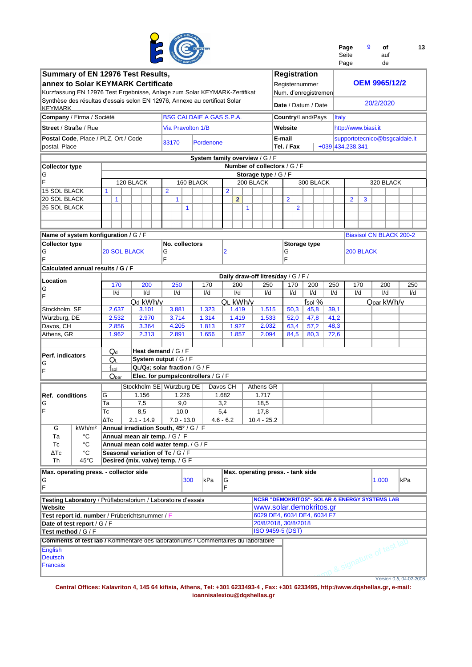

| Page  | ٩ | οf  | 13 |
|-------|---|-----|----|
| Seite |   | auf |    |
| Page  |   | de  |    |

| Summary of EN 12976 Test Results,                                         |                                                                                          |                                       |                                 |           |             |                                     |     |                                   |        |                | <b>Registration</b>                                      |     |              |                     |     |                            |                                |
|---------------------------------------------------------------------------|------------------------------------------------------------------------------------------|---------------------------------------|---------------------------------|-----------|-------------|-------------------------------------|-----|-----------------------------------|--------|----------------|----------------------------------------------------------|-----|--------------|---------------------|-----|----------------------------|--------------------------------|
| annex to Solar KEYMARK Certificate                                        |                                                                                          |                                       |                                 |           |             |                                     |     |                                   |        |                | Registernummer                                           |     |              |                     |     | <b>OEM 9965/12/2</b>       |                                |
| Kurzfassung EN 12976 Test Ergebnisse, Anlage zum Solar KEYMARK-Zertifikat |                                                                                          |                                       |                                 |           |             |                                     |     |                                   |        |                | Num. d'enregistremen                                     |     |              |                     |     |                            |                                |
| Synthèse des résultas d'essais selon EN 12976, Annexe au certificat Solar |                                                                                          |                                       |                                 |           |             |                                     |     |                                   |        |                |                                                          |     |              |                     |     |                            |                                |
| <b>KFYMARK</b>                                                            |                                                                                          |                                       |                                 |           |             |                                     |     |                                   |        |                | Date / Datum / Date                                      |     |              |                     |     | 20/2/2020                  |                                |
|                                                                           |                                                                                          |                                       |                                 |           |             |                                     |     |                                   |        |                |                                                          |     |              |                     |     |                            |                                |
| Company / Firma / Société                                                 |                                                                                          |                                       | <b>BSG CALDAIE A GAS S.P.A.</b> |           |             |                                     |     |                                   |        |                | Country/Land/Pays                                        |     | <b>Italy</b> |                     |     |                            |                                |
| Street / Straße / Rue                                                     |                                                                                          |                                       | <b>Via Pravolton 1/B</b>        |           |             |                                     |     |                                   |        | Website        |                                                          |     |              | http://www.biasi.it |     |                            |                                |
| Postal Code, Place / PLZ, Ort / Code                                      |                                                                                          |                                       |                                 |           |             |                                     |     |                                   | E-mail |                |                                                          |     |              |                     |     |                            | supportotecnico@bsgcaldaie.it  |
|                                                                           |                                                                                          |                                       | 33170                           | Pordenone |             |                                     |     |                                   |        |                |                                                          |     |              | +039 434, 238, 341  |     |                            |                                |
| postal, Place                                                             |                                                                                          |                                       |                                 |           |             |                                     |     |                                   |        | Tel. / Fax     |                                                          |     |              |                     |     |                            |                                |
|                                                                           |                                                                                          |                                       |                                 |           |             | System family overview / G / F      |     |                                   |        |                |                                                          |     |              |                     |     |                            |                                |
| <b>Collector type</b>                                                     |                                                                                          |                                       |                                 |           |             |                                     |     | Number of collectors / G / F      |        |                |                                                          |     |              |                     |     |                            |                                |
| G                                                                         |                                                                                          |                                       |                                 |           |             |                                     |     | Storage type / $G$ / $F$          |        |                |                                                          |     |              |                     |     |                            |                                |
| F                                                                         |                                                                                          | 120 BLACK                             |                                 | 160 BLACK |             |                                     |     | 200 BLACK                         |        |                | 300 BLACK                                                |     |              |                     |     | 320 BLACK                  |                                |
| <b>15 SOL BLACK</b>                                                       | $\mathbf{1}$                                                                             |                                       | $\overline{2}$                  |           |             | $\overline{2}$                      |     |                                   |        |                |                                                          |     |              |                     |     |                            |                                |
| <b>20 SOL BLACK</b>                                                       |                                                                                          |                                       |                                 |           |             |                                     |     |                                   |        | $\overline{2}$ |                                                          |     |              |                     |     |                            |                                |
|                                                                           | 1                                                                                        |                                       | $\mathbf{1}$                    |           |             | $\mathbf{2}$                        |     |                                   |        |                |                                                          |     |              | $\overline{2}$      | 3   |                            |                                |
| 26 SOL BLACK                                                              |                                                                                          |                                       | 1                               |           |             |                                     | 1   |                                   |        |                | $\overline{2}$                                           |     |              |                     |     |                            |                                |
|                                                                           |                                                                                          |                                       |                                 |           |             |                                     |     |                                   |        |                |                                                          |     |              |                     |     |                            |                                |
|                                                                           |                                                                                          |                                       |                                 |           |             |                                     |     |                                   |        |                |                                                          |     |              |                     |     |                            |                                |
| Name of system konfiguration / G / F                                      |                                                                                          |                                       |                                 |           |             |                                     |     |                                   |        |                |                                                          |     |              |                     |     |                            | <b>Biasisol CN BLACK 200-2</b> |
| <b>Collector type</b>                                                     |                                                                                          |                                       | No. collectors                  |           |             |                                     |     |                                   |        |                | <b>Storage type</b>                                      |     |              |                     |     |                            |                                |
|                                                                           | <b>20 SOL BLACK</b>                                                                      |                                       |                                 |           |             | 2                                   |     |                                   |        |                |                                                          |     |              | 200 BLACK           |     |                            |                                |
| ΙG<br>F                                                                   |                                                                                          |                                       | G<br>F                          |           |             |                                     |     |                                   |        | G<br>F         |                                                          |     |              |                     |     |                            |                                |
|                                                                           |                                                                                          |                                       |                                 |           |             |                                     |     |                                   |        |                |                                                          |     |              |                     |     |                            |                                |
| Calculated annual results / G / F                                         |                                                                                          |                                       |                                 |           |             |                                     |     |                                   |        |                |                                                          |     |              |                     |     |                            |                                |
| Location                                                                  |                                                                                          |                                       |                                 |           |             | Daily draw-off litres/day / G / F / |     |                                   |        |                |                                                          |     |              |                     |     |                            |                                |
| IG                                                                        | 170                                                                                      | 200                                   | 250                             | 170       |             | 200                                 | 250 | 170                               | 200    |                | 250                                                      | 170 |              | 200                 | 250 |                            |                                |
| ΙF                                                                        | I/d                                                                                      | I/d                                   | I/d                             | I/d       |             | I/d                                 | I/d |                                   | I/d    | I/d            |                                                          | I/d | I/d          |                     | I/d | I/d                        |                                |
|                                                                           |                                                                                          | Qd kWh/y                              |                                 |           |             | QL kWh/y                            |     |                                   |        |                | fsol %                                                   |     |              |                     |     | Qpar kWh/y                 |                                |
| Stockholm, SE                                                             | 2.637                                                                                    | 3.101                                 | 3.881                           | 1.323     |             | 1.419                               |     | 1.515                             |        | 50,3           | 45,8                                                     |     | 39,1         |                     |     |                            |                                |
| Würzburg, DE                                                              | 2.532                                                                                    | 2.970                                 | 3.714                           | 1.314     |             | 1.419                               |     | 1.533                             |        | 52,0           | 47,8                                                     |     | 41,2         |                     |     |                            |                                |
| Davos, CH                                                                 | 2.856                                                                                    | 3.364                                 | 4.205                           | 1.813     |             | 1.927                               |     | 2.032                             |        | 63,4           | 57,2                                                     |     | 48,3         |                     |     |                            |                                |
| Athens, GR                                                                | 1.962                                                                                    | 2.313                                 | 2.891                           | 1.656     |             | 1.857                               |     | 2.094                             |        |                | 80,3                                                     |     |              |                     |     |                            |                                |
|                                                                           |                                                                                          |                                       |                                 |           |             |                                     |     |                                   |        | 84,5           |                                                          |     | 72,6         |                     |     |                            |                                |
|                                                                           |                                                                                          |                                       |                                 |           |             |                                     |     |                                   |        |                |                                                          |     |              |                     |     |                            |                                |
| Perf. indicators                                                          | $Q_d$                                                                                    | Heat demand / G / F                   |                                 |           |             |                                     |     |                                   |        |                |                                                          |     |              |                     |     |                            |                                |
| G                                                                         | QL                                                                                       | System output / G / F                 |                                 |           |             |                                     |     |                                   |        |                |                                                          |     |              |                     |     |                            |                                |
| ΙF                                                                        | $f_{sol}$                                                                                |                                       | QL/Qd; solar fraction / G / F   |           |             |                                     |     |                                   |        |                |                                                          |     |              |                     |     |                            |                                |
|                                                                           | Q <sub>par</sub>                                                                         | Elec. for pumps/controllers / G / F   |                                 |           |             |                                     |     |                                   |        |                |                                                          |     |              |                     |     |                            |                                |
|                                                                           |                                                                                          | Stockholm SE Würzburg DE              |                                 |           | Davos CH    |                                     |     | Athens GR                         |        |                |                                                          |     |              |                     |     |                            |                                |
| Ref. conditions                                                           | G                                                                                        | 1.156                                 | 1.226                           |           | 1.682       |                                     |     | 1.717                             |        |                |                                                          |     |              |                     |     |                            |                                |
|                                                                           |                                                                                          |                                       |                                 |           |             |                                     |     |                                   |        |                |                                                          |     |              |                     |     |                            |                                |
| IG<br>IF                                                                  | Ta                                                                                       | 7,5                                   | 9,0                             |           | 3,2         |                                     |     | 18,5                              |        |                |                                                          |     |              |                     |     |                            |                                |
|                                                                           | Тc                                                                                       | 8,5                                   | 10,0                            |           | 5,4         |                                     |     | 17,8                              |        |                |                                                          |     |              |                     |     |                            |                                |
|                                                                           | $\overline{\Delta T}$ c                                                                  | $2.1 - 14.9$                          | 7.0 - 13.0                      |           | $4.6 - 6.2$ |                                     |     | $10.4 - 25.2$                     |        |                |                                                          |     |              |                     |     |                            |                                |
| G<br>kWh/m <sup>2</sup>                                                   |                                                                                          | Annual irradiation South, 45° / G / F |                                 |           |             |                                     |     |                                   |        |                |                                                          |     |              |                     |     |                            |                                |
| °C<br>Тa                                                                  |                                                                                          | Annual mean air temp. / G / F         |                                 |           |             |                                     |     |                                   |        |                |                                                          |     |              |                     |     |                            |                                |
| $^{\circ}C$<br>Тc                                                         |                                                                                          | Annual mean cold water temp. / G / F  |                                 |           |             |                                     |     |                                   |        |                |                                                          |     |              |                     |     |                            |                                |
| °C<br>ΔTc                                                                 |                                                                                          | Seasonal variation of Tc / G / F      |                                 |           |             |                                     |     |                                   |        |                |                                                          |     |              |                     |     |                            |                                |
| 45°C<br>Th                                                                |                                                                                          | Desired (mix. valve) temp. / G F      |                                 |           |             |                                     |     |                                   |        |                |                                                          |     |              |                     |     |                            |                                |
| Max. operating press. - collector side                                    |                                                                                          |                                       |                                 |           |             |                                     |     |                                   |        |                |                                                          |     |              |                     |     |                            |                                |
|                                                                           |                                                                                          |                                       |                                 |           |             |                                     |     | Max. operating press. - tank side |        |                |                                                          |     |              |                     |     |                            |                                |
| G                                                                         |                                                                                          |                                       | 300                             | kPa       |             | G                                   |     |                                   |        |                |                                                          |     |              |                     |     | 1.000                      | kPa                            |
| F                                                                         |                                                                                          |                                       |                                 |           |             | F                                   |     |                                   |        |                |                                                          |     |              |                     |     |                            |                                |
| Testing Laboratory / Prüflaboratorium / Laboratoire d'essais              |                                                                                          |                                       |                                 |           |             |                                     |     |                                   |        |                | <b>NCSR "DEMOKRITOS"- SOLAR &amp; ENERGY SYSTEMS LAB</b> |     |              |                     |     |                            |                                |
| Website                                                                   |                                                                                          |                                       |                                 |           |             |                                     |     |                                   |        |                | www.solar.demokritos.gr                                  |     |              |                     |     |                            |                                |
| Test report id. number / Prüberichtsnummer / F                            |                                                                                          |                                       |                                 |           |             |                                     |     |                                   |        |                | 6029 DE4, 6034 DE4, 6034 F7                              |     |              |                     |     |                            |                                |
|                                                                           | 20/8/2018, 30/8/2018<br>Date of test report / G / F                                      |                                       |                                 |           |             |                                     |     |                                   |        |                |                                                          |     |              |                     |     |                            |                                |
|                                                                           | <b>ISO 9459-5 (DST)</b><br>Test method / G / F                                           |                                       |                                 |           |             |                                     |     |                                   |        |                |                                                          |     |              |                     |     |                            |                                |
|                                                                           | <b>Comments of test lab / Kommentare des laboratoriums / Commentaires du laboratoire</b> |                                       |                                 |           |             |                                     |     |                                   |        |                |                                                          |     |              |                     |     |                            |                                |
|                                                                           |                                                                                          |                                       |                                 |           |             |                                     |     |                                   |        |                |                                                          |     |              |                     |     | 10 & signature of test lab |                                |
| English                                                                   |                                                                                          |                                       |                                 |           |             |                                     |     |                                   |        |                |                                                          |     |              |                     |     |                            |                                |
| <b>Deutsch</b>                                                            |                                                                                          |                                       |                                 |           |             |                                     |     |                                   |        |                |                                                          |     |              |                     |     |                            |                                |
| <b>Francais</b>                                                           |                                                                                          |                                       |                                 |           |             |                                     |     |                                   |        |                |                                                          |     |              |                     |     |                            |                                |
|                                                                           |                                                                                          |                                       |                                 |           |             |                                     |     |                                   |        |                |                                                          |     |              |                     |     |                            |                                |
|                                                                           |                                                                                          |                                       |                                 |           |             |                                     |     |                                   |        |                |                                                          |     |              |                     |     |                            | Version 0.5, 04-02-2008        |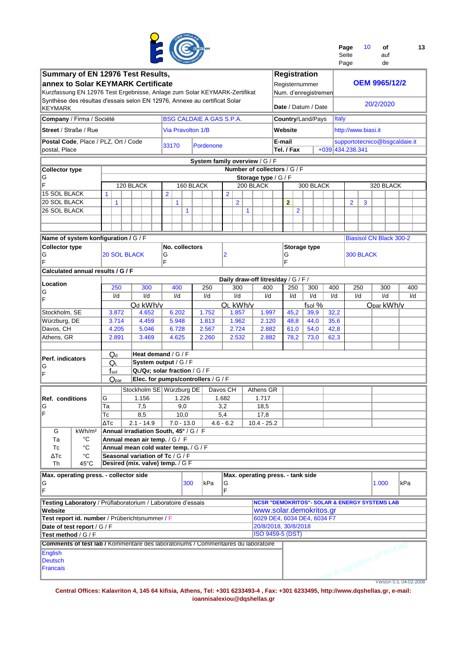

| Page  | 10 | οf  | 13 |
|-------|----|-----|----|
| Seite |    | auf |    |
|       |    |     |    |

|                                                                                          |                                                                                                |                                        |                                     |  |                |              | <b>CERTIFY</b> |                                 |          |                |       |              |  |               |  |                              |                |                                                          |      |              | Page             |                     | de                             |  |                               |  |
|------------------------------------------------------------------------------------------|------------------------------------------------------------------------------------------------|----------------------------------------|-------------------------------------|--|----------------|--------------|----------------|---------------------------------|----------|----------------|-------|--------------|--|---------------|--|------------------------------|----------------|----------------------------------------------------------|------|--------------|------------------|---------------------|--------------------------------|--|-------------------------------|--|
| Summary of EN 12976 Test Results,                                                        |                                                                                                |                                        |                                     |  |                |              |                |                                 |          |                |       |              |  |               |  |                              |                | <b>Registration</b>                                      |      |              |                  |                     |                                |  |                               |  |
| <b>annex to Solar KEYMARK Certificate</b>                                                |                                                                                                |                                        |                                     |  |                |              |                |                                 |          |                |       |              |  |               |  |                              |                | Registernummer                                           |      |              |                  |                     | <b>OEM 9965/12/2</b>           |  |                               |  |
| Kurzfassung EN 12976 Test Ergebnisse, Anlage zum Solar KEYMARK-Zertifikat                |                                                                                                |                                        |                                     |  |                |              |                |                                 |          |                |       |              |  |               |  |                              |                | Num. d'enregistremen                                     |      |              |                  |                     |                                |  |                               |  |
| Synthèse des résultas d'essais selon EN 12976, Annexe au certificat Solar                |                                                                                                |                                        |                                     |  |                |              |                |                                 |          |                |       |              |  |               |  |                              |                |                                                          |      |              |                  |                     |                                |  |                               |  |
| KEYMARK                                                                                  |                                                                                                |                                        |                                     |  |                |              |                |                                 |          |                |       |              |  |               |  |                              |                | Date / Datum / Date                                      |      |              |                  |                     | 20/2/2020                      |  |                               |  |
| Company / Firma / Société                                                                |                                                                                                |                                        |                                     |  |                |              |                | <b>BSG CALDAIE A GAS S.P.A.</b> |          |                |       |              |  |               |  |                              |                | Country/Land/Pays                                        |      | <b>Italy</b> |                  |                     |                                |  |                               |  |
| <b>Street / Straße / Rue</b>                                                             |                                                                                                |                                        |                                     |  |                |              |                | <b>Via Pravolton 1/B</b>        |          |                |       |              |  |               |  | Website                      |                |                                                          |      |              |                  | http://www.biasi.it |                                |  |                               |  |
| Postal Code, Place / PLZ, Ort / Code                                                     |                                                                                                |                                        |                                     |  |                |              |                |                                 |          |                |       |              |  |               |  | E-mail                       |                |                                                          |      |              |                  |                     |                                |  | supportotecnico@bsgcaldaie.it |  |
| postal, Place                                                                            |                                                                                                |                                        |                                     |  | 33170          |              |                | Pordenone                       |          |                |       |              |  |               |  | Tel. / Fax                   |                |                                                          |      |              | +039 434.238.341 |                     |                                |  |                               |  |
|                                                                                          |                                                                                                |                                        |                                     |  |                |              |                | System family overview / G / F  |          |                |       |              |  |               |  |                              |                |                                                          |      |              |                  |                     |                                |  |                               |  |
| Collector type                                                                           |                                                                                                |                                        |                                     |  |                |              |                |                                 |          |                |       |              |  |               |  | Number of collectors / G / F |                |                                                          |      |              |                  |                     |                                |  |                               |  |
| G                                                                                        |                                                                                                |                                        |                                     |  |                |              |                |                                 |          |                |       |              |  |               |  | Storage type / G / F         |                |                                                          |      |              |                  |                     |                                |  |                               |  |
| F                                                                                        |                                                                                                |                                        | 120 BLACK                           |  |                |              |                | 160 BLACK                       |          |                |       | 200 BLACK    |  |               |  |                              |                | 300 BLACK                                                |      |              |                  |                     | 320 BLACK                      |  |                               |  |
| 15 SOL BLACK                                                                             | $\mathbf{1}$                                                                                   |                                        |                                     |  | $\overline{2}$ |              |                |                                 |          | $\overline{2}$ |       |              |  |               |  |                              |                |                                                          |      |              |                  |                     |                                |  |                               |  |
| 20 SOL BLACK                                                                             | 1                                                                                              |                                        |                                     |  |                | 1            |                |                                 |          |                | 2     |              |  |               |  | $\overline{2}$               |                |                                                          |      |              | 2                | 3                   |                                |  |                               |  |
| 26 SOL BLACK                                                                             |                                                                                                |                                        |                                     |  |                |              | $\mathbf{1}$   |                                 |          |                |       | $\mathbf{1}$ |  |               |  |                              | $\overline{2}$ |                                                          |      |              |                  |                     |                                |  |                               |  |
|                                                                                          |                                                                                                |                                        |                                     |  |                |              |                |                                 |          |                |       |              |  |               |  |                              |                |                                                          |      |              |                  |                     |                                |  |                               |  |
|                                                                                          |                                                                                                |                                        |                                     |  |                |              |                |                                 |          |                |       |              |  |               |  |                              |                |                                                          |      |              |                  |                     |                                |  |                               |  |
| Name of system konfiguration / G / F                                                     |                                                                                                |                                        |                                     |  |                |              |                |                                 |          |                |       |              |  |               |  |                              |                |                                                          |      |              |                  |                     | <b>Biasisol CN Black 300-2</b> |  |                               |  |
| <b>Collector type</b>                                                                    |                                                                                                | No. collectors                         |                                     |  |                |              |                |                                 |          |                |       |              |  |               |  |                              |                | Storage type                                             |      |              |                  |                     |                                |  |                               |  |
| G                                                                                        |                                                                                                | <b>20 SOL BLACK</b><br>2<br>G          |                                     |  |                |              |                |                                 |          |                |       |              |  |               |  | G                            |                |                                                          |      |              |                  | 300 BLACK           |                                |  |                               |  |
| F                                                                                        |                                                                                                | F                                      |                                     |  |                |              |                |                                 |          |                |       |              |  |               |  | F                            |                |                                                          |      |              |                  |                     |                                |  |                               |  |
| Calculated annual results / G / F                                                        |                                                                                                |                                        |                                     |  |                |              |                |                                 |          |                |       |              |  |               |  |                              |                |                                                          |      |              |                  |                     |                                |  |                               |  |
|                                                                                          | Daily draw-off litres/day / G / F /                                                            |                                        |                                     |  |                |              |                |                                 |          |                |       |              |  |               |  |                              |                |                                                          |      |              |                  |                     |                                |  |                               |  |
| Location                                                                                 | 250<br>300<br>400<br>300<br>400<br>250<br>250<br>300<br>400<br>250<br>300<br>I/d<br>I/d<br>I/d |                                        |                                     |  |                |              |                |                                 |          |                |       |              |  |               |  | 400                          |                |                                                          |      |              |                  |                     |                                |  |                               |  |
| G                                                                                        |                                                                                                | I/d<br>I/d<br>I/d<br>I/d<br>I/d<br>I/d |                                     |  |                |              |                |                                 |          |                |       |              |  |               |  | I/d                          |                | I/d                                                      |      |              |                  |                     |                                |  | I/d                           |  |
| F                                                                                        |                                                                                                |                                        | Qd kWh/y                            |  |                |              |                |                                 |          | QL kWh/y       |       |              |  |               |  |                              |                | fsol %                                                   |      |              |                  |                     | Qpar kWh/y                     |  |                               |  |
| Stockholm, SE                                                                            | 3.872                                                                                          |                                        | 4.652                               |  |                | 6.202        |                | 1.752                           |          |                | 1.857 |              |  | 1.997         |  | 45,2                         |                | 39,9                                                     | 32,2 |              |                  |                     |                                |  |                               |  |
| Würzburg, DE                                                                             | 3.714                                                                                          |                                        | 4.459                               |  |                | 5.948        |                | 1.813                           |          |                | 1.962 |              |  | 2.120         |  | 48,8                         |                | 44,0                                                     | 35,6 |              |                  |                     |                                |  |                               |  |
| Davos, CH                                                                                | 4.205                                                                                          |                                        | 5.046                               |  |                | 6.728        |                | 2.567                           |          |                | 2.724 |              |  | 2.882         |  | 61,0                         |                | 54,0                                                     | 42,8 |              |                  |                     |                                |  |                               |  |
| Athens, GR                                                                               | 2.891                                                                                          |                                        | 3.469                               |  |                | 4.625        |                | 2.260                           |          |                | 2.532 |              |  | 2.882         |  | 78,2                         |                | 73,0                                                     | 62,3 |              |                  |                     |                                |  |                               |  |
|                                                                                          |                                                                                                |                                        |                                     |  |                |              |                |                                 |          |                |       |              |  |               |  |                              |                |                                                          |      |              |                  |                     |                                |  |                               |  |
|                                                                                          | $Q_d$                                                                                          |                                        | Heat demand / G / F                 |  |                |              |                |                                 |          |                |       |              |  |               |  |                              |                |                                                          |      |              |                  |                     |                                |  |                               |  |
| Perf. indicators<br>IG                                                                   | QL                                                                                             |                                        | System output / G / F               |  |                |              |                |                                 |          |                |       |              |  |               |  |                              |                |                                                          |      |              |                  |                     |                                |  |                               |  |
| ΙF                                                                                       | $f_{\rm sol}$                                                                                  |                                        | QL/Qd; solar fraction / G / F       |  |                |              |                |                                 |          |                |       |              |  |               |  |                              |                |                                                          |      |              |                  |                     |                                |  |                               |  |
|                                                                                          | Q <sub>par</sub>                                                                               |                                        | Elec. for pumps/controllers / G / F |  |                |              |                |                                 |          |                |       |              |  |               |  |                              |                |                                                          |      |              |                  |                     |                                |  |                               |  |
|                                                                                          |                                                                                                |                                        | Stockholm SE   Würzburg DE          |  |                |              |                |                                 | Davos CH |                |       |              |  | Athens GR     |  |                              |                |                                                          |      |              |                  |                     |                                |  |                               |  |
| <b>Ref. conditions</b>                                                                   | G                                                                                              |                                        | 1.156                               |  |                | 1.226        |                |                                 |          | 1.682          |       |              |  | 1.717         |  |                              |                |                                                          |      |              |                  |                     |                                |  |                               |  |
| IG                                                                                       | Ta                                                                                             |                                        | 7,5                                 |  |                | 9,0          |                |                                 |          | 3,2            |       |              |  | 18,5          |  |                              |                |                                                          |      |              |                  |                     |                                |  |                               |  |
| IF                                                                                       | Tc                                                                                             |                                        | 8.5                                 |  |                | 10.0         |                |                                 |          | 5.4            |       |              |  | 17.8          |  |                              |                |                                                          |      |              |                  |                     |                                |  |                               |  |
|                                                                                          | $\Delta Tc$                                                                                    |                                        | $2.1 - 14.9$                        |  |                | $7.0 - 13.0$ |                |                                 |          | $4.6 - 6.2$    |       |              |  | $10.4 - 25.2$ |  |                              |                |                                                          |      |              |                  |                     |                                |  |                               |  |
| G<br>kWh/m <sup>2</sup>                                                                  | Annual irradiation South, 45° / G / F                                                          |                                        |                                     |  |                |              |                |                                 |          |                |       |              |  |               |  |                              |                |                                                          |      |              |                  |                     |                                |  |                               |  |
| °C<br>Та                                                                                 | Annual mean air temp. / G / F                                                                  |                                        |                                     |  |                |              |                |                                 |          |                |       |              |  |               |  |                              |                |                                                          |      |              |                  |                     |                                |  |                               |  |
| $^{\circ}C$<br>Тc                                                                        | Annual mean cold water temp. / G / F                                                           |                                        |                                     |  |                |              |                |                                 |          |                |       |              |  |               |  |                              |                |                                                          |      |              |                  |                     |                                |  |                               |  |
| °C<br>ΔTc                                                                                | Seasonal variation of Tc / G / F                                                               |                                        |                                     |  |                |              |                |                                 |          |                |       |              |  |               |  |                              |                |                                                          |      |              |                  |                     |                                |  |                               |  |
| Th<br>45°C                                                                               | Desired (mix. valve) temp. / G F                                                               |                                        |                                     |  |                |              |                |                                 |          |                |       |              |  |               |  |                              |                |                                                          |      |              |                  |                     |                                |  |                               |  |
| Max. operating press. - collector side                                                   |                                                                                                |                                        |                                     |  |                |              |                |                                 |          |                |       |              |  |               |  |                              |                | Max. operating press. - tank side                        |      |              |                  |                     |                                |  |                               |  |
| ΙG                                                                                       |                                                                                                |                                        |                                     |  |                |              | 300            | kPa                             |          | G              |       |              |  |               |  |                              |                |                                                          |      |              |                  |                     | 1.000                          |  | kPa                           |  |
| F                                                                                        |                                                                                                |                                        |                                     |  |                |              |                |                                 |          | F              |       |              |  |               |  |                              |                |                                                          |      |              |                  |                     |                                |  |                               |  |
| Testing Laboratory / Prüflaboratorium / Laboratoire d'essais                             |                                                                                                |                                        |                                     |  |                |              |                |                                 |          |                |       |              |  |               |  |                              |                | <b>NCSR "DEMOKRITOS"- SOLAR &amp; ENERGY SYSTEMS LAB</b> |      |              |                  |                     |                                |  |                               |  |
| Website                                                                                  |                                                                                                |                                        |                                     |  |                |              |                |                                 |          |                |       |              |  |               |  |                              |                | www.solar.demokritos.gr                                  |      |              |                  |                     |                                |  |                               |  |
| Test report id. number / Prüberichtsnummer / F                                           |                                                                                                |                                        |                                     |  |                |              |                |                                 |          |                |       |              |  |               |  |                              |                | 6029 DE4, 6034 DE4, 6034 F7                              |      |              |                  |                     |                                |  |                               |  |
| 20/8/2018, 30/8/2018<br>Date of test report / G / F                                      |                                                                                                |                                        |                                     |  |                |              |                |                                 |          |                |       |              |  |               |  |                              |                |                                                          |      |              |                  |                     |                                |  |                               |  |
| Test method / G / F                                                                      |                                                                                                |                                        |                                     |  |                |              |                |                                 |          |                |       |              |  |               |  | ISO 9459-5 (DST)             |                |                                                          |      |              |                  |                     |                                |  |                               |  |
| <b>Comments of test lab / Kommentare des laboratoriums / Commentaires du laboratoire</b> |                                                                                                |                                        |                                     |  |                |              |                |                                 |          |                |       |              |  |               |  |                              |                |                                                          |      |              |                  |                     |                                |  |                               |  |
| English                                                                                  |                                                                                                |                                        |                                     |  |                |              |                |                                 |          |                |       |              |  |               |  |                              |                |                                                          |      |              |                  |                     | no & signature of test lab     |  |                               |  |
| <b>Deutsch</b>                                                                           |                                                                                                |                                        |                                     |  |                |              |                |                                 |          |                |       |              |  |               |  |                              |                |                                                          |      |              |                  |                     |                                |  |                               |  |
| Francais                                                                                 |                                                                                                |                                        |                                     |  |                |              |                |                                 |          |                |       |              |  |               |  |                              |                |                                                          |      |              |                  |                     |                                |  |                               |  |
|                                                                                          |                                                                                                |                                        |                                     |  |                |              |                |                                 |          |                |       |              |  |               |  |                              |                |                                                          |      |              |                  |                     |                                |  |                               |  |
|                                                                                          |                                                                                                |                                        |                                     |  |                |              |                |                                 |          |                |       |              |  |               |  |                              |                |                                                          |      |              |                  |                     |                                |  | Version 0.5, 04-02-2008       |  |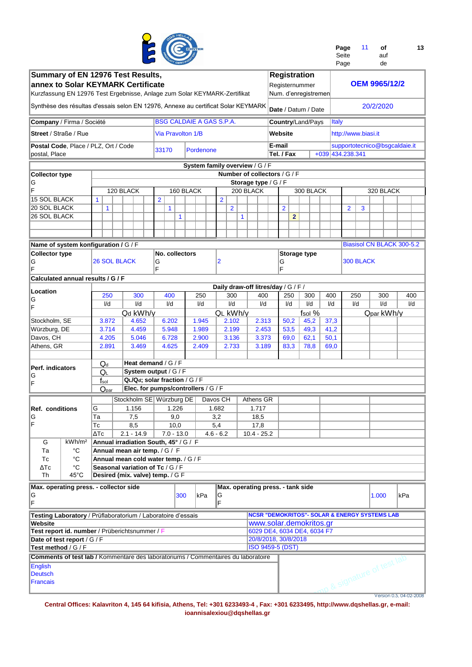

| Page  | 11 | οf  | 13 |
|-------|----|-----|----|
| Seite |    | auf |    |

|                                                                                                                                                                | <b>OF CERTIFIC</b><br>Summary of EN 12976 Test Results, |                         |                                        |                                                                       |                |                          |  |                                 |                |                |              |                                                          |  |  |                   |                |                                             |              |       | Page                |           |           | de                            |     |     |
|----------------------------------------------------------------------------------------------------------------------------------------------------------------|---------------------------------------------------------|-------------------------|----------------------------------------|-----------------------------------------------------------------------|----------------|--------------------------|--|---------------------------------|----------------|----------------|--------------|----------------------------------------------------------|--|--|-------------------|----------------|---------------------------------------------|--------------|-------|---------------------|-----------|-----------|-------------------------------|-----|-----|
| annex to Solar KEYMARK Certificate                                                                                                                             |                                                         |                         |                                        |                                                                       |                |                          |  |                                 |                |                |              |                                                          |  |  |                   |                | <b>Registration</b><br>Registernummer       |              |       |                     |           |           | <b>OEM 9965/12/2</b>          |     |     |
| Kurzfassung EN 12976 Test Ergebnisse, Anlage zum Solar KEYMARK-Zertifikat<br>Synthèse des résultas d'essais selon EN 12976, Annexe au certificat Solar KEYMARK |                                                         |                         |                                        |                                                                       |                |                          |  |                                 |                |                |              |                                                          |  |  |                   |                | Num. d'enregistremen<br>Date / Datum / Date |              |       |                     |           | 20/2/2020 |                               |     |     |
|                                                                                                                                                                |                                                         |                         |                                        |                                                                       |                |                          |  |                                 |                |                |              |                                                          |  |  |                   |                |                                             |              |       |                     |           |           |                               |     |     |
| Company / Firma / Société                                                                                                                                      |                                                         |                         |                                        |                                                                       |                |                          |  | <b>BSG CALDAIE A GAS S.P.A.</b> |                |                |              |                                                          |  |  |                   |                | Country/Land/Pays                           |              | Italy |                     |           |           |                               |     |     |
| <b>Street</b> / Straße / Rue                                                                                                                                   |                                                         |                         |                                        |                                                                       |                | <b>Via Pravolton 1/B</b> |  |                                 |                |                |              |                                                          |  |  | Website<br>E-mail |                |                                             |              |       | http://www.biasi.it |           |           |                               |     |     |
| Postal Code, Place / PLZ, Ort / Code<br>postal, Place                                                                                                          |                                                         |                         |                                        |                                                                       | 33170          |                          |  | Pordenone                       |                |                |              |                                                          |  |  | Tel. / Fax        |                |                                             |              |       | +039 434.238.341    |           |           | supportotecnico@bsgcaldaie.it |     |     |
|                                                                                                                                                                |                                                         |                         |                                        |                                                                       |                |                          |  | System family overview / G / F  |                |                |              |                                                          |  |  |                   |                |                                             |              |       |                     |           |           |                               |     |     |
| <b>Collector type</b>                                                                                                                                          |                                                         |                         |                                        |                                                                       |                |                          |  |                                 |                |                |              | Number of collectors / G / F                             |  |  |                   |                |                                             |              |       |                     |           |           |                               |     |     |
| G                                                                                                                                                              |                                                         |                         |                                        |                                                                       |                |                          |  |                                 |                |                |              | Storage type / G / F                                     |  |  |                   |                |                                             |              |       |                     |           |           |                               |     |     |
| Ë                                                                                                                                                              |                                                         |                         |                                        | 120 BLACK                                                             |                | 160 BLACK                |  |                                 |                |                |              | 200 BLACK                                                |  |  |                   |                | 300 BLACK                                   |              |       |                     |           |           | 320 BLACK                     |     |     |
| <b>15 SOL BLACK</b><br>20 SOL BLACK                                                                                                                            |                                                         | 1                       |                                        |                                                                       | $\overline{2}$ |                          |  |                                 | $\overline{2}$ |                |              |                                                          |  |  |                   |                |                                             |              |       |                     |           |           |                               |     |     |
| 26 SOL BLACK                                                                                                                                                   |                                                         | $\mathbf{1}$            |                                        |                                                                       |                | 1<br>$\mathbf{1}$        |  |                                 |                | $\overline{2}$ | $\mathbf{1}$ |                                                          |  |  | $\overline{2}$    | $\overline{2}$ |                                             |              |       | $\overline{2}$      | 3         |           |                               |     |     |
|                                                                                                                                                                |                                                         |                         |                                        |                                                                       |                |                          |  |                                 |                |                |              |                                                          |  |  |                   |                |                                             |              |       |                     |           |           |                               |     |     |
|                                                                                                                                                                |                                                         |                         |                                        |                                                                       |                |                          |  |                                 |                |                |              |                                                          |  |  |                   |                |                                             |              |       |                     |           |           |                               |     |     |
| Name of system konfiguration / G / F                                                                                                                           |                                                         |                         |                                        |                                                                       |                |                          |  |                                 |                |                |              |                                                          |  |  |                   |                |                                             |              |       |                     |           |           | Biasisol CN BLACK 300-5.2     |     |     |
| <b>Collector type</b>                                                                                                                                          |                                                         |                         |                                        |                                                                       |                | No. collectors           |  |                                 |                |                |              |                                                          |  |  |                   |                | <b>Storage type</b>                         |              |       |                     |           |           |                               |     |     |
| G<br>Ë                                                                                                                                                         |                                                         | <b>26 SOL BLACK</b>     |                                        |                                                                       | G<br>F         |                          |  |                                 | 2              |                |              |                                                          |  |  | G<br>F            |                |                                             |              |       |                     | 300 BLACK |           |                               |     |     |
| Calculated annual results / G / F                                                                                                                              |                                                         |                         |                                        |                                                                       |                |                          |  |                                 |                |                |              |                                                          |  |  |                   |                |                                             |              |       |                     |           |           |                               |     |     |
| Location                                                                                                                                                       |                                                         |                         | Daily draw-off litres/day / G / F /    |                                                                       |                |                          |  |                                 |                |                |              |                                                          |  |  |                   |                |                                             |              |       |                     |           |           |                               |     |     |
| G                                                                                                                                                              |                                                         |                         | 250<br>300<br>400<br>250<br>300<br>400 |                                                                       |                |                          |  |                                 |                |                |              |                                                          |  |  |                   |                | 300                                         | 400          |       | 250                 |           |           | 300                           |     | 400 |
| F                                                                                                                                                              |                                                         | $\mathsf{I}/\mathsf{d}$ |                                        | I/d                                                                   |                | I/d                      |  | I/d                             |                | I/d            |              | I/d                                                      |  |  | I/d               |                | I/d                                         | I/d          |       |                     | I/d       |           | I/d                           |     | I/d |
|                                                                                                                                                                |                                                         |                         |                                        | Qd kWh/y                                                              |                |                          |  |                                 |                | QL kWh/v       |              |                                                          |  |  |                   |                | fsol %                                      |              |       |                     |           |           | Qpar kWh/y                    |     |     |
| Stockholm, SE                                                                                                                                                  |                                                         | 3.872                   |                                        | 4.652                                                                 |                | 6.202                    |  | 1.945                           |                | 2.102          |              | 2.313                                                    |  |  | 50,2              |                | 45,2                                        | 37,3         |       |                     |           |           |                               |     |     |
| Würzburg, DE<br>Davos, CH                                                                                                                                      |                                                         | 3.714<br>4.205          |                                        | 4.459<br>5.046                                                        |                | 5.948<br>6.728           |  | 1.989<br>2.900                  |                | 2.199<br>3.136 |              | 2.453<br>3.373                                           |  |  | 53,5<br>69,0      |                | 49,3<br>62,1                                | 41,2<br>50,1 |       |                     |           |           |                               |     |     |
| Athens, GR                                                                                                                                                     |                                                         | 2.891                   |                                        | 3.469                                                                 |                | 4.625                    |  | 2.409                           |                | 2.733          |              | 3.189                                                    |  |  | 83,3              |                | 78,8                                        |              | 69,0  |                     |           |           |                               |     |     |
|                                                                                                                                                                |                                                         |                         |                                        |                                                                       |                |                          |  |                                 |                |                |              |                                                          |  |  |                   |                |                                             |              |       |                     |           |           |                               |     |     |
|                                                                                                                                                                |                                                         | $Q_d$                   |                                        | Heat demand / $G$ / $F$                                               |                |                          |  |                                 |                |                |              |                                                          |  |  |                   |                |                                             |              |       |                     |           |           |                               |     |     |
| Perf. indicators                                                                                                                                               |                                                         | Q∟                      |                                        | System output / G / F                                                 |                |                          |  |                                 |                |                |              |                                                          |  |  |                   |                |                                             |              |       |                     |           |           |                               |     |     |
| G<br>F                                                                                                                                                         |                                                         | $f_{\rm sol}$           |                                        | QL/Qd; solar fraction / G / F                                         |                |                          |  |                                 |                |                |              |                                                          |  |  |                   |                |                                             |              |       |                     |           |           |                               |     |     |
|                                                                                                                                                                |                                                         | $Q_{\text{par}}$        |                                        | Elec. for pumps/controllers / G / F                                   |                |                          |  |                                 |                |                |              |                                                          |  |  |                   |                |                                             |              |       |                     |           |           |                               |     |     |
|                                                                                                                                                                |                                                         |                         |                                        | Stockholm SE   Würzburg DE                                            |                |                          |  | Davos CH                        |                |                |              | Athens GR                                                |  |  |                   |                |                                             |              |       |                     |           |           |                               |     |     |
| <b>Ref. conditions</b>                                                                                                                                         |                                                         | G                       |                                        | 1.156                                                                 |                | 1.226                    |  |                                 | 1.682          |                |              | 1.717                                                    |  |  |                   |                |                                             |              |       |                     |           |           |                               |     |     |
| G                                                                                                                                                              |                                                         | $\overline{a}$          |                                        | 7,5                                                                   |                | 9,0                      |  |                                 | 3,2            |                |              | 18,5                                                     |  |  |                   |                |                                             |              |       |                     |           |           |                               |     |     |
| F                                                                                                                                                              |                                                         | Тc                      |                                        | 8,5                                                                   |                | 10,0                     |  |                                 | 5,4            |                |              | 17,8                                                     |  |  |                   |                |                                             |              |       |                     |           |           |                               |     |     |
|                                                                                                                                                                |                                                         | ΔТс                     |                                        | $2.1 - 14.9$                                                          |                | $7.0 - 13.0$             |  |                                 | $4.6 - 6.2$    |                |              | $10.4 - 25.2$                                            |  |  |                   |                |                                             |              |       |                     |           |           |                               |     |     |
| G<br>Ta                                                                                                                                                        | kWh/m <sup>2</sup><br>$^{\circ}$ C                      |                         |                                        | Annual irradiation South, 45° / G / F                                 |                |                          |  |                                 |                |                |              |                                                          |  |  |                   |                |                                             |              |       |                     |           |           |                               |     |     |
| Тc                                                                                                                                                             | $^{\circ}C$                                             |                         |                                        | Annual mean air temp. / G / F<br>Annual mean cold water temp. / G / F |                |                          |  |                                 |                |                |              |                                                          |  |  |                   |                |                                             |              |       |                     |           |           |                               |     |     |
| ΔТс                                                                                                                                                            | °C                                                      |                         |                                        | Seasonal variation of Tc / G / F                                      |                |                          |  |                                 |                |                |              |                                                          |  |  |                   |                |                                             |              |       |                     |           |           |                               |     |     |
| Th                                                                                                                                                             | $45^{\circ}$ C                                          |                         |                                        | Desired (mix. valve) temp. / G F                                      |                |                          |  |                                 |                |                |              |                                                          |  |  |                   |                |                                             |              |       |                     |           |           |                               |     |     |
| Max. operating press. - collector side                                                                                                                         |                                                         |                         |                                        |                                                                       |                |                          |  |                                 |                |                |              | Max. operating press. - tank side                        |  |  |                   |                |                                             |              |       |                     |           |           |                               |     |     |
| G                                                                                                                                                              |                                                         |                         |                                        |                                                                       |                | 300                      |  | kPa                             | G              |                |              |                                                          |  |  |                   |                |                                             |              |       |                     |           | 1.000     |                               | kPa |     |
| F                                                                                                                                                              |                                                         |                         |                                        |                                                                       |                |                          |  |                                 | F              |                |              |                                                          |  |  |                   |                |                                             |              |       |                     |           |           |                               |     |     |
| Testing Laboratory / Prüflaboratorium / Laboratoire d'essais                                                                                                   |                                                         |                         |                                        |                                                                       |                |                          |  |                                 |                |                |              | <b>NCSR "DEMOKRITOS"- SOLAR &amp; ENERGY SYSTEMS LAB</b> |  |  |                   |                |                                             |              |       |                     |           |           |                               |     |     |
| Website                                                                                                                                                        |                                                         |                         |                                        |                                                                       |                |                          |  |                                 |                |                |              | www.solar.demokritos.gr                                  |  |  |                   |                |                                             |              |       |                     |           |           |                               |     |     |
| Test report id. number / Prüberichtsnummer / F                                                                                                                 |                                                         |                         |                                        |                                                                       |                |                          |  |                                 |                |                |              | 6029 DE4, 6034 DE4, 6034 F7                              |  |  |                   |                |                                             |              |       |                     |           |           |                               |     |     |
| Date of test report / G / F                                                                                                                                    |                                                         |                         |                                        |                                                                       |                |                          |  |                                 |                |                |              | 20/8/2018, 30/8/2018                                     |  |  |                   |                |                                             |              |       |                     |           |           |                               |     |     |
| Test method / G / F<br>Comments of test lab / Kommentare des laboratoriums / Commentaires du laboratoire                                                       |                                                         |                         |                                        |                                                                       |                |                          |  |                                 |                |                |              | ISO 9459-5 (DST)                                         |  |  |                   |                |                                             |              |       |                     |           |           |                               |     |     |
|                                                                                                                                                                |                                                         |                         |                                        |                                                                       |                |                          |  |                                 |                |                |              |                                                          |  |  |                   |                |                                             |              |       |                     |           |           | to & signature of test lab    |     |     |
| <b>English</b><br><b>Deutsch</b>                                                                                                                               |                                                         |                         |                                        |                                                                       |                |                          |  |                                 |                |                |              |                                                          |  |  |                   |                |                                             |              |       |                     |           |           |                               |     |     |
| <b>Francais</b>                                                                                                                                                |                                                         |                         |                                        |                                                                       |                |                          |  |                                 |                |                |              |                                                          |  |  |                   |                |                                             |              |       |                     |           |           |                               |     |     |
|                                                                                                                                                                |                                                         |                         |                                        |                                                                       |                |                          |  |                                 |                |                |              |                                                          |  |  |                   |                |                                             |              |       |                     |           |           |                               |     |     |
|                                                                                                                                                                |                                                         |                         |                                        |                                                                       |                |                          |  |                                 |                |                |              |                                                          |  |  |                   |                |                                             |              |       |                     |           |           | Version 0.5, 04-02-2008       |     |     |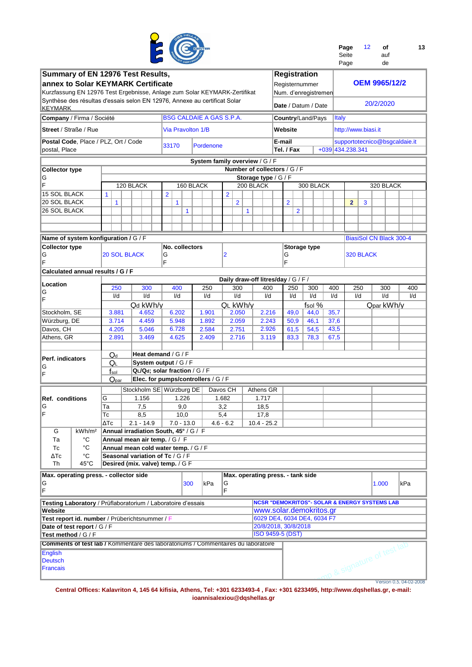

| Page  | 12 | οf  | 13 |
|-------|----|-----|----|
| Seite |    | auf |    |
| Page  |    | de  |    |

|                                        |                                                                                          |                           | Summary of EN 12976 Test Results,                                         |                          |           |                                     |              |                                   |        |                  | <b>Registration</b>                                      |                  |                     |     |                                |                         |
|----------------------------------------|------------------------------------------------------------------------------------------|---------------------------|---------------------------------------------------------------------------|--------------------------|-----------|-------------------------------------|--------------|-----------------------------------|--------|------------------|----------------------------------------------------------|------------------|---------------------|-----|--------------------------------|-------------------------|
|                                        |                                                                                          |                           | annex to Solar KEYMARK Certificate                                        |                          |           |                                     |              |                                   |        |                  | Registernummer                                           |                  |                     |     | <b>OEM 9965/12/2</b>           |                         |
|                                        |                                                                                          |                           |                                                                           |                          |           |                                     |              |                                   |        |                  |                                                          |                  |                     |     |                                |                         |
|                                        |                                                                                          |                           | Kurzfassung EN 12976 Test Ergebnisse, Anlage zum Solar KEYMARK-Zertifikat |                          |           |                                     |              |                                   |        |                  | Num. d'enregistremen                                     |                  |                     |     |                                |                         |
|                                        |                                                                                          |                           | Synthèse des résultas d'essais selon EN 12976, Annexe au certificat Solar |                          |           |                                     |              |                                   |        |                  |                                                          |                  |                     |     | 20/2/2020                      |                         |
| <b>KEYMARK</b>                         |                                                                                          |                           |                                                                           |                          |           |                                     |              |                                   |        |                  | Date / Datum / Date                                      |                  |                     |     |                                |                         |
| Company / Firma / Société              |                                                                                          |                           |                                                                           |                          |           | <b>BSG CALDAIE A GAS S.P.A.</b>     |              |                                   |        |                  | Country/Land/Pays                                        | <b>Italy</b>     |                     |     |                                |                         |
| <b>Street / Straße / Rue</b>           |                                                                                          |                           |                                                                           | <b>Via Pravolton 1/B</b> |           |                                     |              |                                   |        | Website          |                                                          |                  | http://www.biasi.it |     |                                |                         |
|                                        |                                                                                          |                           |                                                                           |                          |           |                                     |              |                                   |        |                  |                                                          |                  |                     |     |                                |                         |
| Postal Code, Place / PLZ, Ort / Code   |                                                                                          |                           |                                                                           | 33170                    | Pordenone |                                     |              |                                   | E-mail |                  |                                                          |                  |                     |     | supportotecnico@bsgcaldaie.it  |                         |
| postal, Place                          |                                                                                          |                           |                                                                           |                          |           |                                     |              |                                   |        | Tel. / Fax       |                                                          | +039 434.238.341 |                     |     |                                |                         |
|                                        |                                                                                          |                           |                                                                           |                          |           |                                     |              |                                   |        |                  |                                                          |                  |                     |     |                                |                         |
|                                        |                                                                                          |                           |                                                                           |                          |           | System family overview / G / F      |              |                                   |        |                  |                                                          |                  |                     |     |                                |                         |
| Collector type                         |                                                                                          |                           |                                                                           |                          |           |                                     |              | Number of collectors / G / F      |        |                  |                                                          |                  |                     |     |                                |                         |
| ΙG                                     |                                                                                          |                           |                                                                           |                          |           |                                     |              | Storage type / G / F              |        |                  |                                                          |                  |                     |     |                                |                         |
| F                                      |                                                                                          |                           | 120 BLACK                                                                 |                          | 160 BLACK |                                     |              | 200 BLACK                         |        |                  | 300 BLACK                                                |                  |                     |     | 320 BLACK                      |                         |
| 15 SOL BLACK                           |                                                                                          | $\mathbf{1}$              |                                                                           | $\overline{2}$           |           | $\overline{2}$                      |              |                                   |        |                  |                                                          |                  |                     |     |                                |                         |
| <b>20 SOL BLACK</b>                    |                                                                                          | $\mathbf{1}$              |                                                                           | 1                        |           | $\overline{2}$                      |              |                                   |        | $\overline{2}$   |                                                          |                  | $\overline{2}$      | 3   |                                |                         |
| 26 SOL BLACK                           |                                                                                          |                           |                                                                           | $\mathbf{1}$             |           |                                     | $\mathbf{1}$ |                                   |        | $\overline{2}$   |                                                          |                  |                     |     |                                |                         |
|                                        |                                                                                          |                           |                                                                           |                          |           |                                     |              |                                   |        |                  |                                                          |                  |                     |     |                                |                         |
|                                        |                                                                                          |                           |                                                                           |                          |           |                                     |              |                                   |        |                  |                                                          |                  |                     |     |                                |                         |
|                                        |                                                                                          |                           |                                                                           |                          |           |                                     |              |                                   |        |                  |                                                          |                  |                     |     |                                |                         |
| Name of system konfiguration / G / F   |                                                                                          |                           |                                                                           |                          |           |                                     |              |                                   |        |                  |                                                          |                  |                     |     | <b>BiasiSol CN Black 300-4</b> |                         |
| <b>Collector type</b>                  |                                                                                          |                           |                                                                           | No. collectors           |           |                                     |              |                                   |        |                  | Storage type                                             |                  |                     |     |                                |                         |
| G                                      |                                                                                          | <b>20 SOL BLACK</b>       |                                                                           | G                        |           | 2                                   |              | G                                 |        |                  |                                                          | 320 BLACK        |                     |     |                                |                         |
| IF                                     |                                                                                          |                           |                                                                           | F                        |           |                                     |              | F                                 |        |                  |                                                          |                  |                     |     |                                |                         |
|                                        |                                                                                          |                           |                                                                           |                          |           |                                     |              |                                   |        |                  |                                                          |                  |                     |     |                                |                         |
| Calculated annual results / G / F      |                                                                                          |                           |                                                                           |                          |           |                                     |              |                                   |        |                  |                                                          |                  |                     |     |                                |                         |
| Location                               |                                                                                          |                           |                                                                           |                          |           | Daily draw-off litres/day / G / F / |              |                                   |        |                  |                                                          |                  |                     |     |                                |                         |
| lG                                     |                                                                                          | 250                       | 300                                                                       | 400                      | 250       | 300                                 | 400          |                                   | 250    | 300              | 400                                                      |                  | 250                 | 300 | 400                            |                         |
| ΙF                                     |                                                                                          | I/d                       | I/d                                                                       | I/d                      | I/d       | I/d                                 | I/d          |                                   | I/d    | $\overline{V}$ d | I/d                                                      |                  | I/d                 | I/d | I/d                            |                         |
|                                        |                                                                                          |                           | Qd kWh/y                                                                  |                          |           | QL kWh/v                            |              |                                   |        |                  | fsol %                                                   |                  |                     |     | Qpar kWh/y                     |                         |
| Stockholm, SE                          |                                                                                          | 3.881                     | 4.652                                                                     | 6.202                    | 1.901     | 2.050                               |              | 2.216                             |        | 49,0             | 44,0                                                     | 35,7             |                     |     |                                |                         |
| Würzburg, DE                           |                                                                                          | 3.714                     | 4.459                                                                     | 5.948                    | 1.892     | 2.059                               |              | 2.243                             |        | 50,9             | 46,1                                                     | 37,6             |                     |     |                                |                         |
|                                        |                                                                                          |                           |                                                                           |                          |           |                                     |              |                                   |        |                  |                                                          |                  |                     |     |                                |                         |
| Davos, CH                              |                                                                                          | 4.205                     | 5.046                                                                     | 6.728                    | 2.584     | 2.751                               |              | 2.926                             |        | 61,5             | 54,5                                                     | 43,5             |                     |     |                                |                         |
| Athens, GR                             |                                                                                          | 2.891                     | 3.469                                                                     | 4.625                    | 2.409     | 2.716                               |              | 3.119                             |        | 83,3             | 78,3                                                     | 67,5             |                     |     |                                |                         |
|                                        |                                                                                          |                           |                                                                           |                          |           |                                     |              |                                   |        |                  |                                                          |                  |                     |     |                                |                         |
|                                        |                                                                                          | $\mathsf{Q}_{\mathsf{d}}$ | Heat demand / G / F                                                       |                          |           |                                     |              |                                   |        |                  |                                                          |                  |                     |     |                                |                         |
| Perf. indicators                       |                                                                                          | QL                        | System output / G / F                                                     |                          |           |                                     |              |                                   |        |                  |                                                          |                  |                     |     |                                |                         |
| IG                                     |                                                                                          | $f_{sol}$                 | QL/Qd; solar fraction / G / F                                             |                          |           |                                     |              |                                   |        |                  |                                                          |                  |                     |     |                                |                         |
| ΙF                                     |                                                                                          | $Q_{par}$                 | Elec. for pumps/controllers / G / F                                       |                          |           |                                     |              |                                   |        |                  |                                                          |                  |                     |     |                                |                         |
|                                        |                                                                                          |                           |                                                                           |                          |           |                                     |              |                                   |        |                  |                                                          |                  |                     |     |                                |                         |
|                                        |                                                                                          |                           | Stockholm SE   Würzburg DE                                                |                          |           | Davos CH                            |              | Athens GR                         |        |                  |                                                          |                  |                     |     |                                |                         |
| <b>Ref. conditions</b>                 |                                                                                          | G                         | 1.156                                                                     | 1.226                    |           | 1.682                               |              | 1.717                             |        |                  |                                                          |                  |                     |     |                                |                         |
| ΙG                                     |                                                                                          | Ta                        | 7,5                                                                       | 9,0                      |           | 3,2                                 |              | 18,5                              |        |                  |                                                          |                  |                     |     |                                |                         |
| ΙF                                     |                                                                                          | Тc                        | 8,5                                                                       | 10,0                     |           | 5,4                                 |              | 17,8                              |        |                  |                                                          |                  |                     |     |                                |                         |
|                                        |                                                                                          | ΔТс                       | 2.1 - 14.9                                                                | 7.0 - 13.0               |           | $4.6 - 6.2$                         |              | $10.4 - 25.2$                     |        |                  |                                                          |                  |                     |     |                                |                         |
| G                                      | kWh/m <sup>2</sup>                                                                       |                           | Annual irradiation South, 45° / G / F                                     |                          |           |                                     |              |                                   |        |                  |                                                          |                  |                     |     |                                |                         |
|                                        |                                                                                          |                           |                                                                           |                          |           |                                     |              |                                   |        |                  |                                                          |                  |                     |     |                                |                         |
| Тa                                     | °C                                                                                       |                           | Annual mean air temp. / G / F                                             |                          |           |                                     |              |                                   |        |                  |                                                          |                  |                     |     |                                |                         |
| Тc                                     | $^{\circ}C$                                                                              |                           | Annual mean cold water temp. / G / F                                      |                          |           |                                     |              |                                   |        |                  |                                                          |                  |                     |     |                                |                         |
| ΔTc                                    | °C                                                                                       |                           | Seasonal variation of Tc / G / F                                          |                          |           |                                     |              |                                   |        |                  |                                                          |                  |                     |     |                                |                         |
| Th                                     | 45°C                                                                                     |                           | Desired (mix. valve) temp. / G F                                          |                          |           |                                     |              |                                   |        |                  |                                                          |                  |                     |     |                                |                         |
| Max. operating press. - collector side |                                                                                          |                           |                                                                           |                          |           |                                     |              | Max. operating press. - tank side |        |                  |                                                          |                  |                     |     |                                |                         |
| G                                      |                                                                                          |                           |                                                                           | 300                      | kPa       | G                                   |              |                                   |        |                  |                                                          |                  |                     |     | 1.000                          | kPa                     |
| F                                      |                                                                                          |                           |                                                                           |                          |           | F                                   |              |                                   |        |                  |                                                          |                  |                     |     |                                |                         |
|                                        |                                                                                          |                           |                                                                           |                          |           |                                     |              |                                   |        |                  |                                                          |                  |                     |     |                                |                         |
|                                        |                                                                                          |                           | Testing Laboratory / Prüflaboratorium / Laboratoire d'essais              |                          |           |                                     |              |                                   |        |                  | <b>NCSR "DEMOKRITOS"- SOLAR &amp; ENERGY SYSTEMS LAB</b> |                  |                     |     |                                |                         |
| Website                                |                                                                                          |                           |                                                                           |                          |           |                                     |              |                                   |        |                  | www.solar.demokritos.gr                                  |                  |                     |     |                                |                         |
|                                        |                                                                                          |                           | Test report id. number / Prüberichtsnummer / F                            |                          |           |                                     |              |                                   |        |                  | 6029 DE4, 6034 DE4, 6034 F7                              |                  |                     |     |                                |                         |
| Date of test report / G / F            |                                                                                          | 20/8/2018, 30/8/2018      |                                                                           |                          |           |                                     |              |                                   |        |                  |                                                          |                  |                     |     |                                |                         |
|                                        |                                                                                          |                           |                                                                           |                          |           |                                     |              |                                   |        |                  |                                                          |                  |                     |     |                                |                         |
|                                        | <b>ISO 9459-5 (DST)</b><br>Test method / G / F                                           |                           |                                                                           |                          |           |                                     |              |                                   |        |                  |                                                          |                  |                     |     |                                |                         |
|                                        | <b>Comments of test lab / Kommentare des laboratoriums / Commentaires du laboratoire</b> |                           |                                                                           |                          |           |                                     |              |                                   |        |                  |                                                          |                  |                     |     | mp & signature of test lab     |                         |
| English                                |                                                                                          |                           |                                                                           |                          |           |                                     |              |                                   |        |                  |                                                          |                  |                     |     |                                |                         |
| <b>Deutsch</b>                         |                                                                                          |                           |                                                                           |                          |           |                                     |              |                                   |        |                  |                                                          |                  |                     |     |                                |                         |
| Francais                               |                                                                                          |                           |                                                                           |                          |           |                                     |              |                                   |        |                  |                                                          |                  |                     |     |                                |                         |
|                                        |                                                                                          |                           |                                                                           |                          |           |                                     |              |                                   |        |                  |                                                          |                  |                     |     |                                |                         |
|                                        |                                                                                          |                           |                                                                           |                          |           |                                     |              |                                   |        |                  |                                                          |                  |                     |     |                                | Version 0.5, 04-02-2008 |